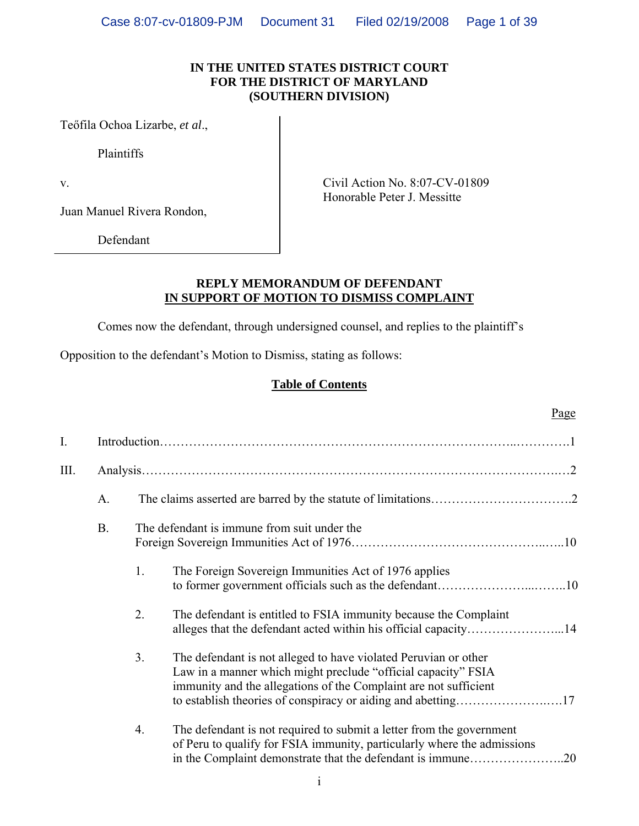#### **IN THE UNITED STATES DISTRICT COURT FOR THE DISTRICT OF MARYLAND (SOUTHERN DIVISION)**

Teőfila Ochoa Lizarbe, *et al*.,

Plaintiffs

Juan Manuel Rivera Rondon,

Defendant

v. Civil Action No. 8:07-CV-01809 Honorable Peter J. Messitte

### **REPLY MEMORANDUM OF DEFENDANT IN SUPPORT OF MOTION TO DISMISS COMPLAINT**

Comes now the defendant, through undersigned counsel, and replies to the plaintiff's

Opposition to the defendant's Motion to Dismiss, stating as follows:

## **Table of Contents**

|                |           |                                             | Page                                                                                                                                                                                                                |  |  |  |
|----------------|-----------|---------------------------------------------|---------------------------------------------------------------------------------------------------------------------------------------------------------------------------------------------------------------------|--|--|--|
| $\mathbf{I}$ . |           |                                             |                                                                                                                                                                                                                     |  |  |  |
| III.           |           |                                             |                                                                                                                                                                                                                     |  |  |  |
|                | A.        |                                             |                                                                                                                                                                                                                     |  |  |  |
|                | <b>B.</b> | The defendant is immune from suit under the |                                                                                                                                                                                                                     |  |  |  |
|                |           | 1.                                          | The Foreign Sovereign Immunities Act of 1976 applies                                                                                                                                                                |  |  |  |
|                |           | 2.                                          | The defendant is entitled to FSIA immunity because the Complaint                                                                                                                                                    |  |  |  |
|                |           | 3 <sub>1</sub>                              | The defendant is not alleged to have violated Peruvian or other<br>Law in a manner which might preclude "official capacity" FSIA<br>immunity and the allegations of the Complaint are not sufficient                |  |  |  |
|                |           | 4.                                          | The defendant is not required to submit a letter from the government<br>of Peru to qualify for FSIA immunity, particularly where the admissions<br>in the Complaint demonstrate that the defendant is immune<br>.20 |  |  |  |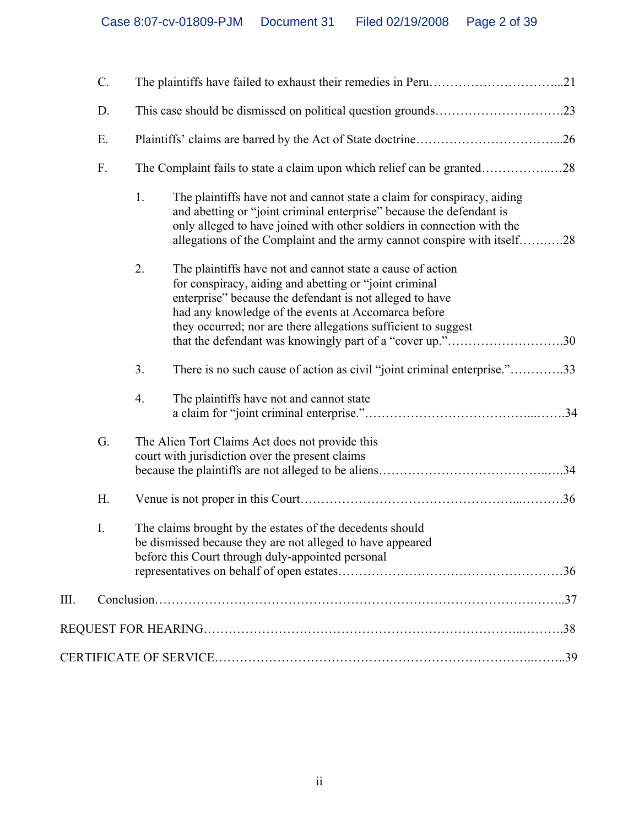|    | $C$ . |                                                                                                                                                                                                                                                                                                                 |  |  |  |
|----|-------|-----------------------------------------------------------------------------------------------------------------------------------------------------------------------------------------------------------------------------------------------------------------------------------------------------------------|--|--|--|
|    | D.    |                                                                                                                                                                                                                                                                                                                 |  |  |  |
|    | Ε.    |                                                                                                                                                                                                                                                                                                                 |  |  |  |
|    | F.    | The Complaint fails to state a claim upon which relief can be granted28                                                                                                                                                                                                                                         |  |  |  |
|    |       | 1.<br>The plaintiffs have not and cannot state a claim for conspiracy, aiding<br>and abetting or "joint criminal enterprise" because the defendant is<br>only alleged to have joined with other soldiers in connection with the<br>allegations of the Complaint and the army cannot conspire with itself28      |  |  |  |
|    |       | 2.<br>The plaintiffs have not and cannot state a cause of action<br>for conspiracy, aiding and abetting or "joint criminal<br>enterprise" because the defendant is not alleged to have<br>had any knowledge of the events at Accomarca before<br>they occurred; nor are there allegations sufficient to suggest |  |  |  |
|    |       | that the defendant was knowingly part of a "cover up."30                                                                                                                                                                                                                                                        |  |  |  |
|    |       | There is no such cause of action as civil "joint criminal enterprise."33<br>3.                                                                                                                                                                                                                                  |  |  |  |
|    |       | The plaintiffs have not and cannot state<br>4.                                                                                                                                                                                                                                                                  |  |  |  |
|    | G.    | The Alien Tort Claims Act does not provide this<br>court with jurisdiction over the present claims                                                                                                                                                                                                              |  |  |  |
|    | H.    |                                                                                                                                                                                                                                                                                                                 |  |  |  |
|    | I.    | The claims brought by the estates of the decedents should<br>be dismissed because they are not alleged to have appeared<br>before this Court through duly-appointed personal                                                                                                                                    |  |  |  |
|    |       |                                                                                                                                                                                                                                                                                                                 |  |  |  |
| Ш. |       |                                                                                                                                                                                                                                                                                                                 |  |  |  |
|    |       |                                                                                                                                                                                                                                                                                                                 |  |  |  |
|    |       |                                                                                                                                                                                                                                                                                                                 |  |  |  |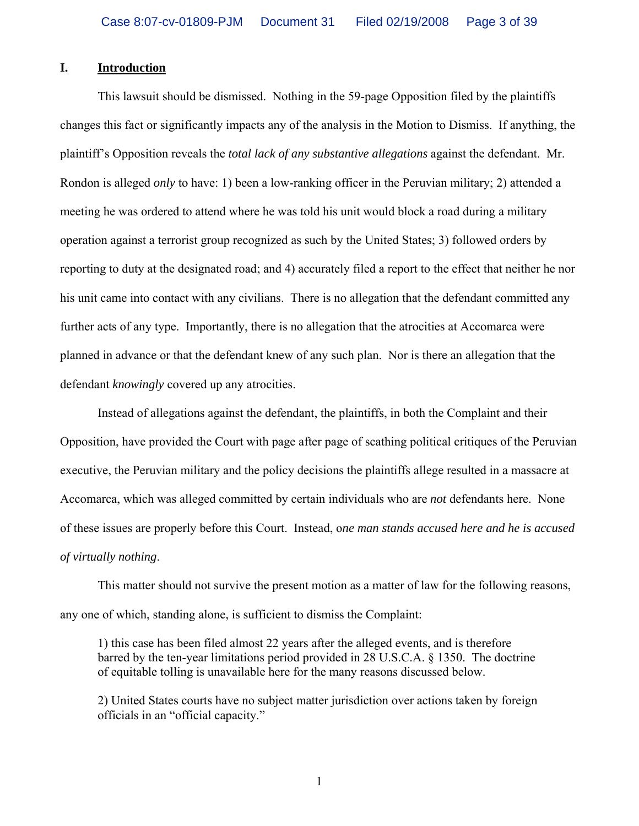#### **I. Introduction**

 This lawsuit should be dismissed. Nothing in the 59-page Opposition filed by the plaintiffs changes this fact or significantly impacts any of the analysis in the Motion to Dismiss. If anything, the plaintiff's Opposition reveals the *total lack of any substantive allegations* against the defendant. Mr. Rondon is alleged *only* to have: 1) been a low-ranking officer in the Peruvian military; 2) attended a meeting he was ordered to attend where he was told his unit would block a road during a military operation against a terrorist group recognized as such by the United States; 3) followed orders by reporting to duty at the designated road; and 4) accurately filed a report to the effect that neither he nor his unit came into contact with any civilians. There is no allegation that the defendant committed any further acts of any type. Importantly, there is no allegation that the atrocities at Accomarca were planned in advance or that the defendant knew of any such plan. Nor is there an allegation that the defendant *knowingly* covered up any atrocities.

 Instead of allegations against the defendant, the plaintiffs, in both the Complaint and their Opposition, have provided the Court with page after page of scathing political critiques of the Peruvian executive, the Peruvian military and the policy decisions the plaintiffs allege resulted in a massacre at Accomarca, which was alleged committed by certain individuals who are *not* defendants here. None of these issues are properly before this Court. Instead, o*ne man stands accused here and he is accused of virtually nothing*.

 This matter should not survive the present motion as a matter of law for the following reasons, any one of which, standing alone, is sufficient to dismiss the Complaint:

1) this case has been filed almost 22 years after the alleged events, and is therefore barred by the ten-year limitations period provided in 28 U.S.C.A. § 1350. The doctrine of equitable tolling is unavailable here for the many reasons discussed below.

2) United States courts have no subject matter jurisdiction over actions taken by foreign officials in an "official capacity."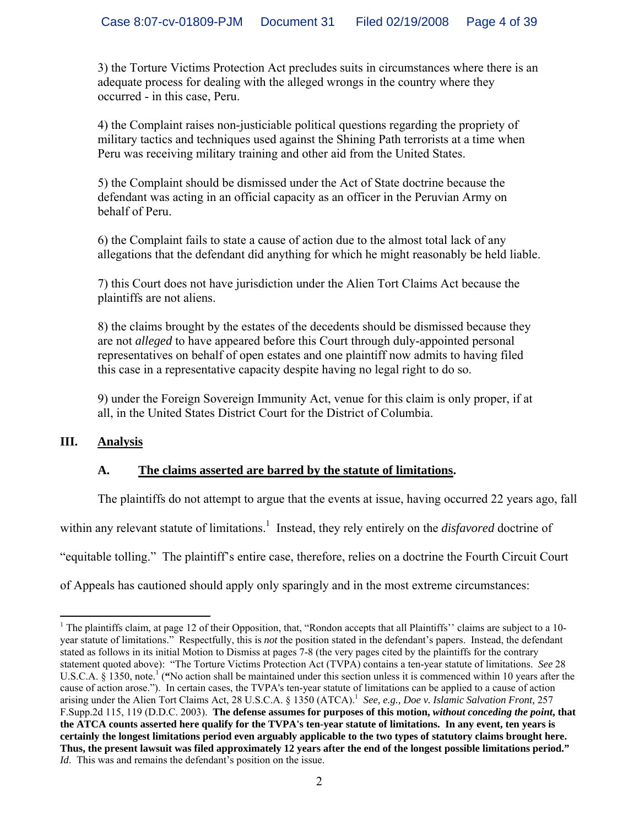3) the Torture Victims Protection Act precludes suits in circumstances where there is an adequate process for dealing with the alleged wrongs in the country where they occurred - in this case, Peru.

4) the Complaint raises non-justiciable political questions regarding the propriety of military tactics and techniques used against the Shining Path terrorists at a time when Peru was receiving military training and other aid from the United States.

5) the Complaint should be dismissed under the Act of State doctrine because the defendant was acting in an official capacity as an officer in the Peruvian Army on behalf of Peru.

6) the Complaint fails to state a cause of action due to the almost total lack of any allegations that the defendant did anything for which he might reasonably be held liable.

7) this Court does not have jurisdiction under the Alien Tort Claims Act because the plaintiffs are not aliens.

8) the claims brought by the estates of the decedents should be dismissed because they are not *alleged* to have appeared before this Court through duly-appointed personal representatives on behalf of open estates and one plaintiff now admits to having filed this case in a representative capacity despite having no legal right to do so.

9) under the Foreign Sovereign Immunity Act, venue for this claim is only proper, if at all, in the United States District Court for the District of Columbia.

# **III. Analysis**

 $\overline{a}$ 

# **A. The claims asserted are barred by the statute of limitations.**

The plaintiffs do not attempt to argue that the events at issue, having occurred 22 years ago, fall

within any relevant statute of limitations.<sup>1</sup> Instead, they rely entirely on the *disfavored* doctrine of

"equitable tolling." The plaintiff's entire case, therefore, relies on a doctrine the Fourth Circuit Court

of Appeals has cautioned should apply only sparingly and in the most extreme circumstances:

<sup>&</sup>lt;sup>1</sup> The plaintiffs claim, at page 12 of their Opposition, that, "Rondon accepts that all Plaintiffs" claims are subject to a 10year statute of limitations." Respectfully, this is *not* the position stated in the defendant's papers. Instead, the defendant stated as follows in its initial Motion to Dismiss at pages 7-8 (the very pages cited by the plaintiffs for the contrary statement quoted above): "The Torture Victims Protection Act (TVPA) contains a ten-year statute of limitations. *See* 28 U.S.C.A. § 1350, note.<sup>1</sup> ("No action shall be maintained under this section unless it is commenced within 10 years after the cause of action arose."). In certain cases, the TVPA's ten-year statute of limitations can be applied to a cause of action arising under the Alien Tort Claims Act, 28 U.S.C.A. § 1350 (ATCA).<sup>1</sup> See, e.g., Doe v. Islamic Salvation Front, 257 F.Supp.2d 115, 119 (D.D.C. 2003).**The defense assumes for purposes of this motion,** *without conceding the point***, that the ATCA counts asserted here qualify for the TVPA's ten-year statute of limitations. In any event, ten years is certainly the longest limitations period even arguably applicable to the two types of statutory claims brought here.** **Thus, the present lawsuit was filed approximately 12 years after the end of the longest possible limitations period."** *Id*. This was and remains the defendant's position on the issue.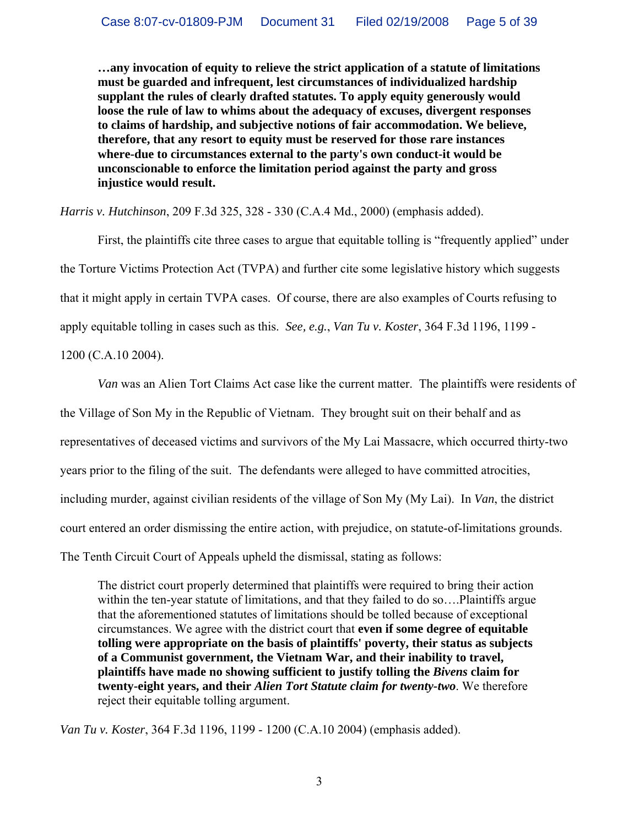**…any invocation of equity to relieve the strict application of a statute of limitations must be guarded and infrequent, lest circumstances of individualized hardship supplant the rules of clearly drafted statutes. To apply equity generously would loose the rule of law to whims about the adequacy of excuses, divergent responses to claims of hardship, and subjective notions of fair accommodation. We believe, therefore, that any resort to equity must be reserved for those rare instances where-due to circumstances external to the party's own conduct-it would be unconscionable to enforce the limitation period against the party and gross injustice would result.** 

*Harris v. Hutchinson*, 209 F.3d 325, 328 - 330 (C.A.4 Md., 2000) (emphasis added).

 First, the plaintiffs cite three cases to argue that equitable tolling is "frequently applied" under the Torture Victims Protection Act (TVPA) and further cite some legislative history which suggests that it might apply in certain TVPA cases. Of course, there are also examples of Courts refusing to apply equitable tolling in cases such as this. *See, e.g.*, *Van Tu v. Koster*, 364 F.3d 1196, 1199 -

1200 (C.A.10 2004).

*Van* was an Alien Tort Claims Act case like the current matter. The plaintiffs were residents of the Village of Son My in the Republic of Vietnam. They brought suit on their behalf and as representatives of deceased victims and survivors of the My Lai Massacre, which occurred thirty-two years prior to the filing of the suit. The defendants were alleged to have committed atrocities, including murder, against civilian residents of the village of Son My (My Lai). In *Van*, the district court entered an order dismissing the entire action, with prejudice, on statute-of-limitations grounds. The Tenth Circuit Court of Appeals upheld the dismissal, stating as follows:

The district court properly determined that plaintiffs were required to bring their action within the ten-year statute of limitations, and that they failed to do so….Plaintiffs argue that the aforementioned statutes of limitations should be tolled because of exceptional circumstances. We agree with the district court that **even if some degree of equitable tolling were appropriate on the basis of plaintiffs' poverty, their status as subjects of a Communist government, the Vietnam War, and their inability to travel, plaintiffs have made no showing sufficient to justify tolling the** *Bivens* **claim for twenty-eight years, and their** *Alien Tort Statute claim for twenty-two*. We therefore reject their equitable tolling argument.

*Van Tu v. Koster*, 364 F.3d 1196, 1199 - 1200 (C.A.10 2004) (emphasis added).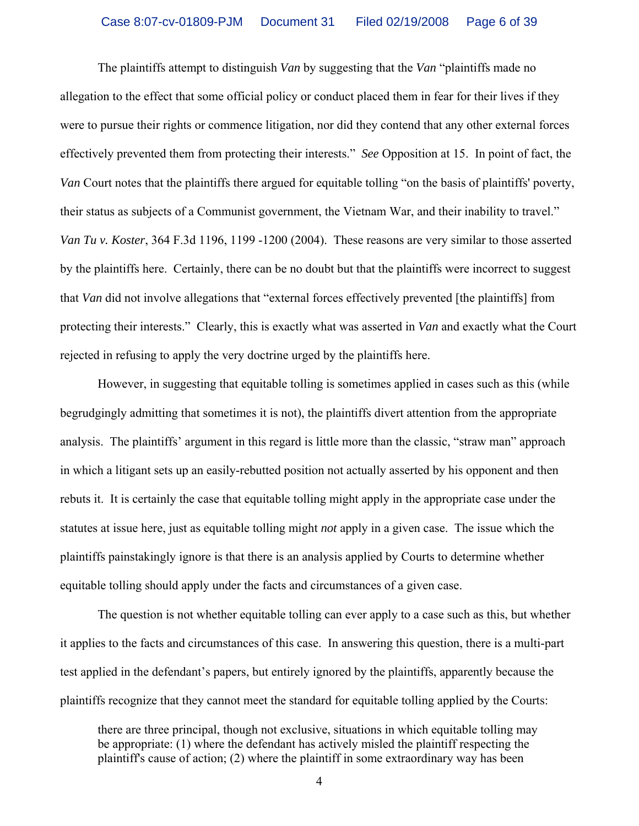The plaintiffs attempt to distinguish *Van* by suggesting that the *Van* "plaintiffs made no allegation to the effect that some official policy or conduct placed them in fear for their lives if they were to pursue their rights or commence litigation, nor did they contend that any other external forces effectively prevented them from protecting their interests." *See* Opposition at 15. In point of fact, the *Van* Court notes that the plaintiffs there argued for equitable tolling "on the basis of plaintiffs' poverty, their status as subjects of a Communist government, the Vietnam War, and their inability to travel." *Van Tu v. Koster*, 364 F.3d 1196, 1199 -1200 (2004). These reasons are very similar to those asserted by the plaintiffs here. Certainly, there can be no doubt but that the plaintiffs were incorrect to suggest that *Van* did not involve allegations that "external forces effectively prevented [the plaintiffs] from protecting their interests." Clearly, this is exactly what was asserted in *Van* and exactly what the Court rejected in refusing to apply the very doctrine urged by the plaintiffs here.

 However, in suggesting that equitable tolling is sometimes applied in cases such as this (while begrudgingly admitting that sometimes it is not), the plaintiffs divert attention from the appropriate analysis. The plaintiffs' argument in this regard is little more than the classic, "straw man" approach in which a litigant sets up an easily-rebutted position not actually asserted by his opponent and then rebuts it. It is certainly the case that equitable tolling might apply in the appropriate case under the statutes at issue here, just as equitable tolling might *not* apply in a given case. The issue which the plaintiffs painstakingly ignore is that there is an analysis applied by Courts to determine whether equitable tolling should apply under the facts and circumstances of a given case.

 The question is not whether equitable tolling can ever apply to a case such as this, but whether it applies to the facts and circumstances of this case. In answering this question, there is a multi-part test applied in the defendant's papers, but entirely ignored by the plaintiffs, apparently because the plaintiffs recognize that they cannot meet the standard for equitable tolling applied by the Courts:

there are three principal, though not exclusive, situations in which equitable tolling may be appropriate: (1) where the defendant has actively misled the plaintiff respecting the plaintiff's cause of action; (2) where the plaintiff in some extraordinary way has been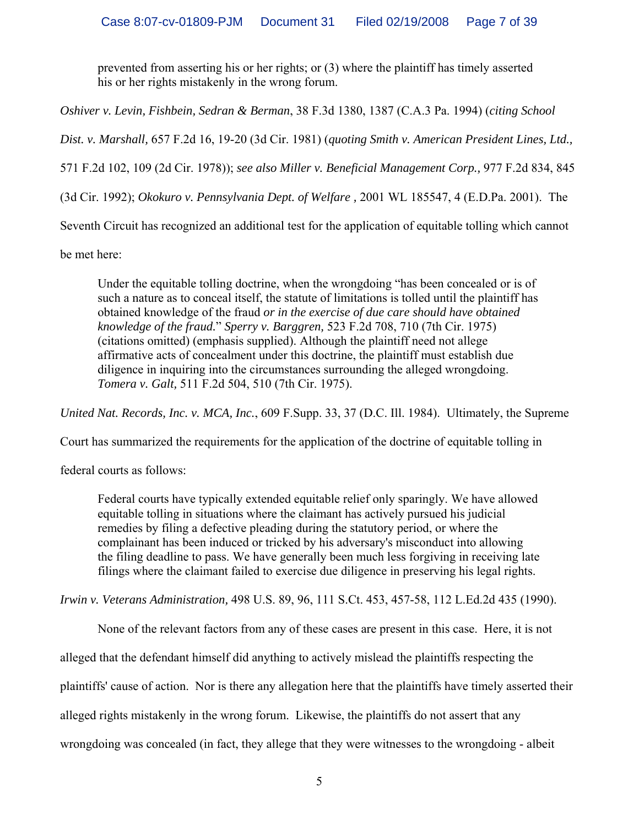prevented from asserting his or her rights; or (3) where the plaintiff has timely asserted his or her rights mistakenly in the wrong forum.

*Oshiver v. Levin, Fishbein, Sedran & Berman*, 38 F.3d 1380, 1387 (C.A.3 Pa. 1994) (*citing School* 

*Dist. v. Marshall,* 657 F.2d 16, 19-20 (3d Cir. 1981) (*quoting Smith v. American President Lines, Ltd.,*

571 F.2d 102, 109 (2d Cir. 1978)); *see also Miller v. Beneficial Management Corp.,* 977 F.2d 834, 845

(3d Cir. 1992); *Okokuro v. Pennsylvania Dept. of Welfare ,* 2001 WL 185547, 4 (E.D.Pa. 2001). The

Seventh Circuit has recognized an additional test for the application of equitable tolling which cannot

be met here:

Under the equitable tolling doctrine, when the wrongdoing "has been concealed or is of such a nature as to conceal itself, the statute of limitations is tolled until the plaintiff has obtained knowledge of the fraud *or in the exercise of due care should have obtained knowledge of the fraud.*" *Sperry v. Barggren,* 523 F.2d 708, 710 (7th Cir. 1975) (citations omitted) (emphasis supplied). Although the plaintiff need not allege affirmative acts of concealment under this doctrine, the plaintiff must establish due diligence in inquiring into the circumstances surrounding the alleged wrongdoing. *Tomera v. Galt,* 511 F.2d 504, 510 (7th Cir. 1975).

*United Nat. Records, Inc. v. MCA, Inc.*, 609 F.Supp. 33, 37 (D.C. Ill. 1984). Ultimately, the Supreme

Court has summarized the requirements for the application of the doctrine of equitable tolling in

federal courts as follows:

Federal courts have typically extended equitable relief only sparingly. We have allowed equitable tolling in situations where the claimant has actively pursued his judicial remedies by filing a defective pleading during the statutory period, or where the complainant has been induced or tricked by his adversary's misconduct into allowing the filing deadline to pass. We have generally been much less forgiving in receiving late filings where the claimant failed to exercise due diligence in preserving his legal rights.

*Irwin v. Veterans Administration,* 498 U.S. 89, 96, 111 S.Ct. 453, 457-58, 112 L.Ed.2d 435 (1990).

None of the relevant factors from any of these cases are present in this case. Here, it is not

alleged that the defendant himself did anything to actively mislead the plaintiffs respecting the

plaintiffs' cause of action. Nor is there any allegation here that the plaintiffs have timely asserted their

alleged rights mistakenly in the wrong forum. Likewise, the plaintiffs do not assert that any

wrongdoing was concealed (in fact, they allege that they were witnesses to the wrongdoing - albeit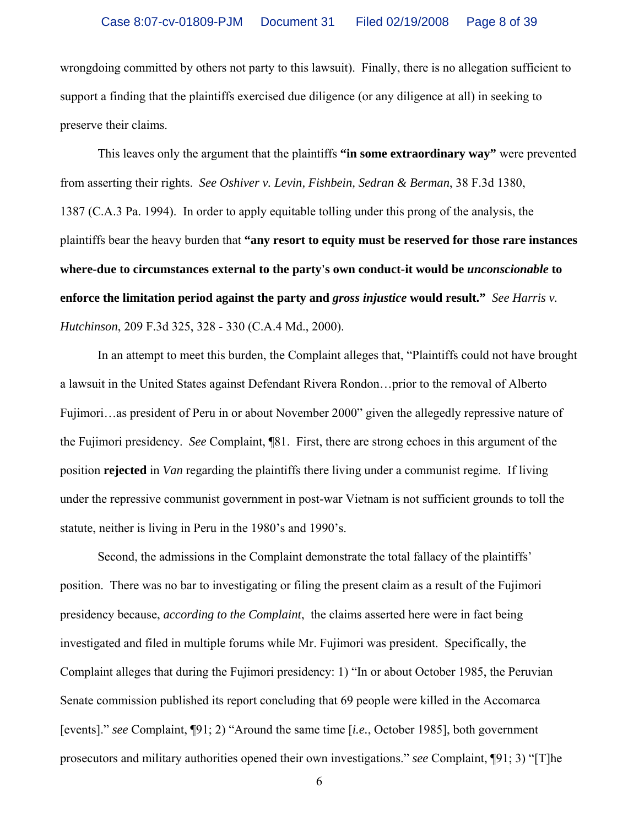wrongdoing committed by others not party to this lawsuit). Finally, there is no allegation sufficient to support a finding that the plaintiffs exercised due diligence (or any diligence at all) in seeking to preserve their claims.

 This leaves only the argument that the plaintiffs **"in some extraordinary way"** were prevented from asserting their rights. *See Oshiver v. Levin, Fishbein, Sedran & Berman*, 38 F.3d 1380, 1387 (C.A.3 Pa. 1994). In order to apply equitable tolling under this prong of the analysis, the plaintiffs bear the heavy burden that **"any resort to equity must be reserved for those rare instances where-due to circumstances external to the party's own conduct-it would be** *unconscionable* **to enforce the limitation period against the party and** *gross injustice* **would result."** *See Harris v. Hutchinson*, 209 F.3d 325, 328 - 330 (C.A.4 Md., 2000).

 In an attempt to meet this burden, the Complaint alleges that, "Plaintiffs could not have brought a lawsuit in the United States against Defendant Rivera Rondon…prior to the removal of Alberto Fujimori…as president of Peru in or about November 2000" given the allegedly repressive nature of the Fujimori presidency. *See* Complaint, ¶81. First, there are strong echoes in this argument of the position **rejected** in *Van* regarding the plaintiffs there living under a communist regime. If living under the repressive communist government in post-war Vietnam is not sufficient grounds to toll the statute, neither is living in Peru in the 1980's and 1990's.

 Second, the admissions in the Complaint demonstrate the total fallacy of the plaintiffs' position. There was no bar to investigating or filing the present claim as a result of the Fujimori presidency because, *according to the Complaint*, the claims asserted here were in fact being investigated and filed in multiple forums while Mr. Fujimori was president. Specifically, the Complaint alleges that during the Fujimori presidency: 1) "In or about October 1985, the Peruvian Senate commission published its report concluding that 69 people were killed in the Accomarca [events]." *see* Complaint, ¶91; 2) "Around the same time [*i.e.*, October 1985], both government prosecutors and military authorities opened their own investigations." *see* Complaint, ¶91; 3) "[T]he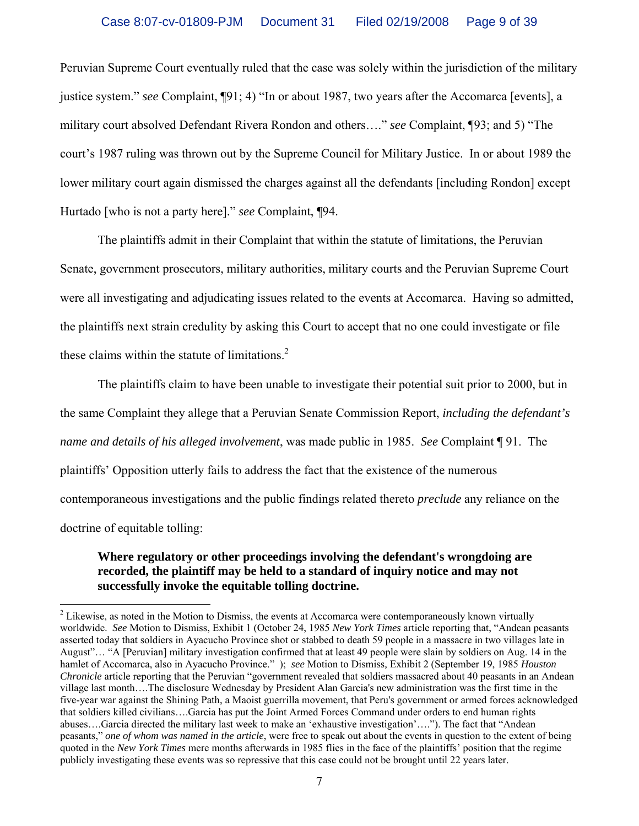Peruvian Supreme Court eventually ruled that the case was solely within the jurisdiction of the military justice system." *see* Complaint, ¶91; 4) "In or about 1987, two years after the Accomarca [events], a military court absolved Defendant Rivera Rondon and others…." *see* Complaint, ¶93; and 5) "The court's 1987 ruling was thrown out by the Supreme Council for Military Justice. In or about 1989 the lower military court again dismissed the charges against all the defendants [including Rondon] except Hurtado [who is not a party here]." *see* Complaint, ¶94.

 The plaintiffs admit in their Complaint that within the statute of limitations, the Peruvian Senate, government prosecutors, military authorities, military courts and the Peruvian Supreme Court were all investigating and adjudicating issues related to the events at Accomarca. Having so admitted, the plaintiffs next strain credulity by asking this Court to accept that no one could investigate or file these claims within the statute of limitations. $2$ 

 The plaintiffs claim to have been unable to investigate their potential suit prior to 2000, but in the same Complaint they allege that a Peruvian Senate Commission Report, *including the defendant's name and details of his alleged involvement*, was made public in 1985. *See* Complaint ¶ 91. The plaintiffs' Opposition utterly fails to address the fact that the existence of the numerous contemporaneous investigations and the public findings related thereto *preclude* any reliance on the doctrine of equitable tolling:

## **Where regulatory or other proceedings involving the defendant's wrongdoing are recorded, the plaintiff may be held to a standard of inquiry notice and may not successfully invoke the equitable tolling doctrine.**

 $\overline{a}$ 

 $2$  Likewise, as noted in the Motion to Dismiss, the events at Accomarca were contemporaneously known virtually worldwide. *See* Motion to Dismiss, Exhibit 1 (October 24, 1985 *New York Times* article reporting that, "Andean peasants asserted today that soldiers in Ayacucho Province shot or stabbed to death 59 people in a massacre in two villages late in August"… "A [Peruvian] military investigation confirmed that at least 49 people were slain by soldiers on Aug. 14 in the hamlet of Accomarca, also in Ayacucho Province." ); *see* Motion to Dismiss*,* Exhibit 2 (September 19, 1985 *Houston Chronicle* article reporting that the Peruvian "government revealed that soldiers massacred about 40 peasants in an Andean village last month….The disclosure Wednesday by President Alan Garcia's new administration was the first time in the five-year war against the Shining Path, a Maoist guerrilla movement, that Peru's government or armed forces acknowledged that soldiers killed civilians….Garcia has put the Joint Armed Forces Command under orders to end human rights abuses….Garcia directed the military last week to make an 'exhaustive investigation'…."). The fact that "Andean peasants," *one of whom was named in the article*, were free to speak out about the events in question to the extent of being quoted in the *New York Times* mere months afterwards in 1985 flies in the face of the plaintiffs' position that the regime publicly investigating these events was so repressive that this case could not be brought until 22 years later.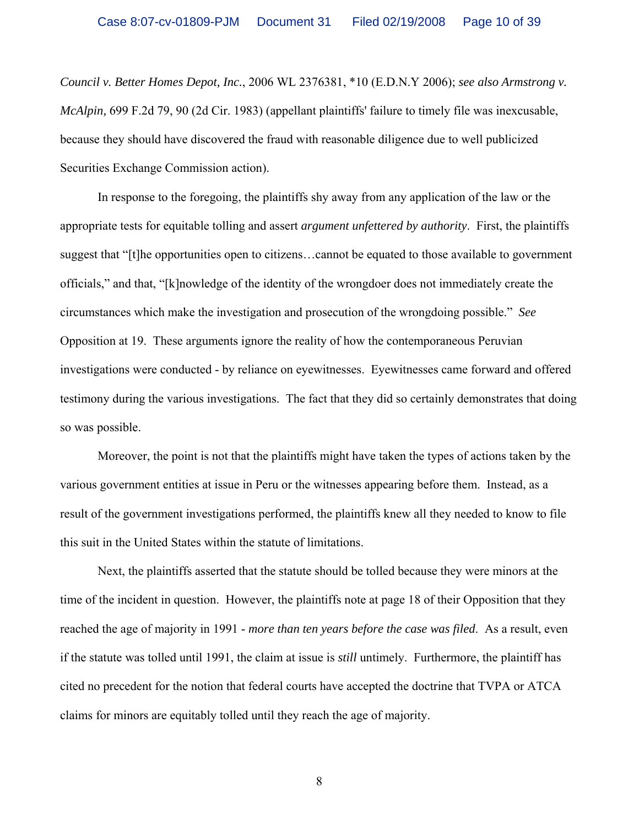*Council v. Better Homes Depot, Inc.*, 2006 WL 2376381, \*10 (E.D.N.Y 2006); *see also Armstrong v. McAlpin,* 699 F.2d 79, 90 (2d Cir. 1983) (appellant plaintiffs' failure to timely file was inexcusable, because they should have discovered the fraud with reasonable diligence due to well publicized Securities Exchange Commission action).

 In response to the foregoing, the plaintiffs shy away from any application of the law or the appropriate tests for equitable tolling and assert *argument unfettered by authority*. First, the plaintiffs suggest that "[t]he opportunities open to citizens…cannot be equated to those available to government officials," and that, "[k]nowledge of the identity of the wrongdoer does not immediately create the circumstances which make the investigation and prosecution of the wrongdoing possible." *See* Opposition at 19. These arguments ignore the reality of how the contemporaneous Peruvian investigations were conducted - by reliance on eyewitnesses. Eyewitnesses came forward and offered testimony during the various investigations. The fact that they did so certainly demonstrates that doing so was possible.

 Moreover, the point is not that the plaintiffs might have taken the types of actions taken by the various government entities at issue in Peru or the witnesses appearing before them. Instead, as a result of the government investigations performed, the plaintiffs knew all they needed to know to file this suit in the United States within the statute of limitations.

 Next, the plaintiffs asserted that the statute should be tolled because they were minors at the time of the incident in question. However, the plaintiffs note at page 18 of their Opposition that they reached the age of majority in 1991 - *more than ten years before the case was filed*. As a result, even if the statute was tolled until 1991, the claim at issue is *still* untimely. Furthermore, the plaintiff has cited no precedent for the notion that federal courts have accepted the doctrine that TVPA or ATCA claims for minors are equitably tolled until they reach the age of majority.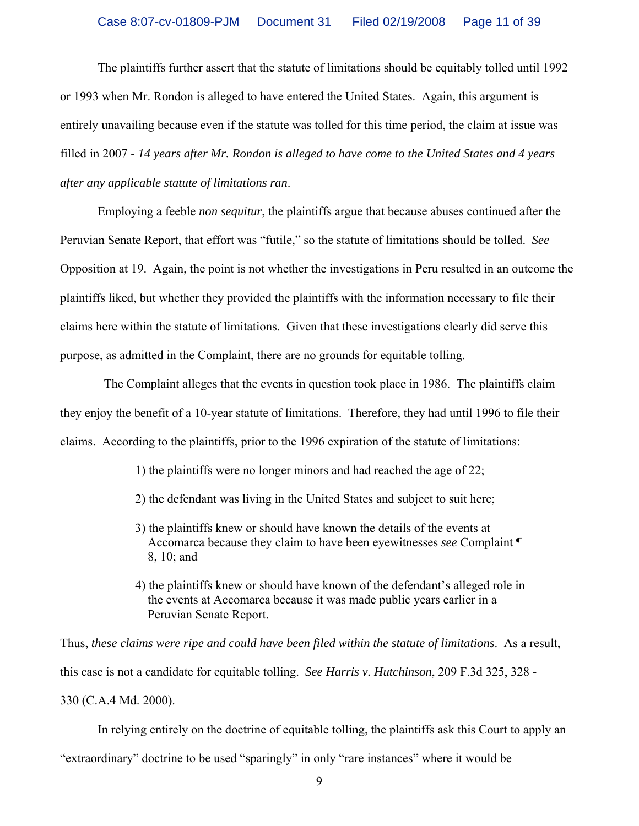The plaintiffs further assert that the statute of limitations should be equitably tolled until 1992 or 1993 when Mr. Rondon is alleged to have entered the United States. Again, this argument is entirely unavailing because even if the statute was tolled for this time period, the claim at issue was filled in 2007 - *14 years after Mr. Rondon is alleged to have come to the United States and 4 years after any applicable statute of limitations ran*.

 Employing a feeble *non sequitur*, the plaintiffs argue that because abuses continued after the Peruvian Senate Report, that effort was "futile," so the statute of limitations should be tolled. *See* Opposition at 19. Again, the point is not whether the investigations in Peru resulted in an outcome the plaintiffs liked, but whether they provided the plaintiffs with the information necessary to file their claims here within the statute of limitations. Given that these investigations clearly did serve this purpose, as admitted in the Complaint, there are no grounds for equitable tolling.

 The Complaint alleges that the events in question took place in 1986. The plaintiffs claim they enjoy the benefit of a 10-year statute of limitations. Therefore, they had until 1996 to file their claims. According to the plaintiffs, prior to the 1996 expiration of the statute of limitations:

1) the plaintiffs were no longer minors and had reached the age of 22;

- 2) the defendant was living in the United States and subject to suit here;
- 3) the plaintiffs knew or should have known the details of the events at Accomarca because they claim to have been eyewitnesses *see* Complaint ¶ 8, 10; and
- 4) the plaintiffs knew or should have known of the defendant's alleged role in the events at Accomarca because it was made public years earlier in a Peruvian Senate Report.

Thus, *these claims were ripe and could have been filed within the statute of limitations*. As a result, this case is not a candidate for equitable tolling. *See Harris v. Hutchinson*, 209 F.3d 325, 328 - 330 (C.A.4 Md. 2000).

 In relying entirely on the doctrine of equitable tolling, the plaintiffs ask this Court to apply an "extraordinary" doctrine to be used "sparingly" in only "rare instances" where it would be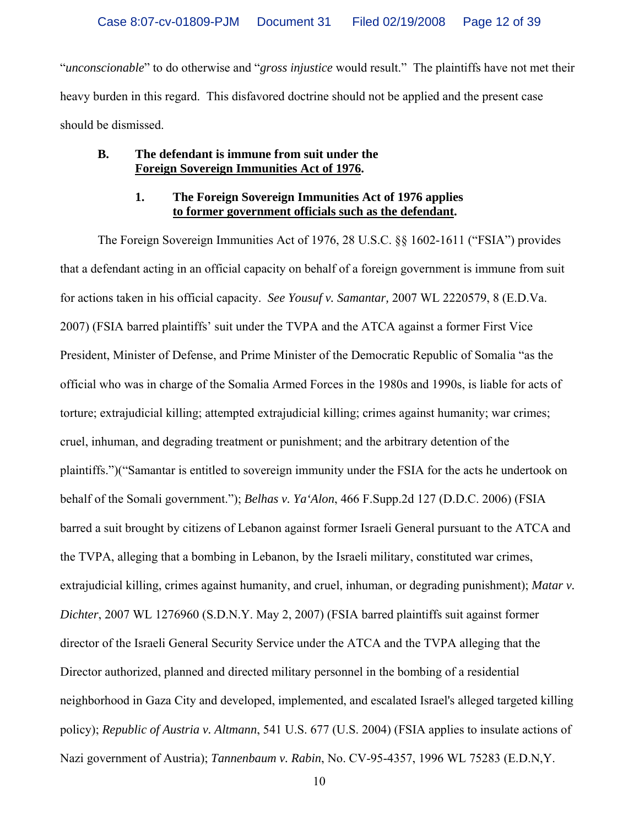"*unconscionable*" to do otherwise and "*gross injustice* would result." The plaintiffs have not met their heavy burden in this regard. This disfavored doctrine should not be applied and the present case should be dismissed.

#### **B. The defendant is immune from suit under the Foreign Sovereign Immunities Act of 1976.**

### **1. The Foreign Sovereign Immunities Act of 1976 applies to former government officials such as the defendant.**

 The Foreign Sovereign Immunities Act of 1976, 28 U.S.C. §§ 1602-1611 ("FSIA") provides that a defendant acting in an official capacity on behalf of a foreign government is immune from suit for actions taken in his official capacity. *See Yousuf v. Samantar,* 2007 WL 2220579, 8 (E.D.Va. 2007) (FSIA barred plaintiffs' suit under the TVPA and the ATCA against a former First Vice President, Minister of Defense, and Prime Minister of the Democratic Republic of Somalia "as the official who was in charge of the Somalia Armed Forces in the 1980s and 1990s, is liable for acts of torture; extrajudicial killing; attempted extrajudicial killing; crimes against humanity; war crimes; cruel, inhuman, and degrading treatment or punishment; and the arbitrary detention of the plaintiffs.")("Samantar is entitled to sovereign immunity under the FSIA for the acts he undertook on behalf of the Somali government."); *Belhas v. Ya'Alon*, 466 F.Supp.2d 127 (D.D.C. 2006) (FSIA barred a suit brought by citizens of Lebanon against former Israeli General pursuant to the ATCA and the TVPA, alleging that a bombing in Lebanon, by the Israeli military, constituted war crimes, extrajudicial killing, crimes against humanity, and cruel, inhuman, or degrading punishment); *Matar v. Dichter*, 2007 WL 1276960 (S.D.N.Y. May 2, 2007) (FSIA barred plaintiffs suit against former director of the Israeli General Security Service under the ATCA and the TVPA alleging that the Director authorized, planned and directed military personnel in the bombing of a residential neighborhood in Gaza City and developed, implemented, and escalated Israel's alleged targeted killing policy); *Republic of Austria v. Altmann*, 541 U.S. 677 (U.S. 2004) (FSIA applies to insulate actions of Nazi government of Austria); *Tannenbaum v. Rabin*, No. CV-95-4357, 1996 WL 75283 (E.D.N,Y.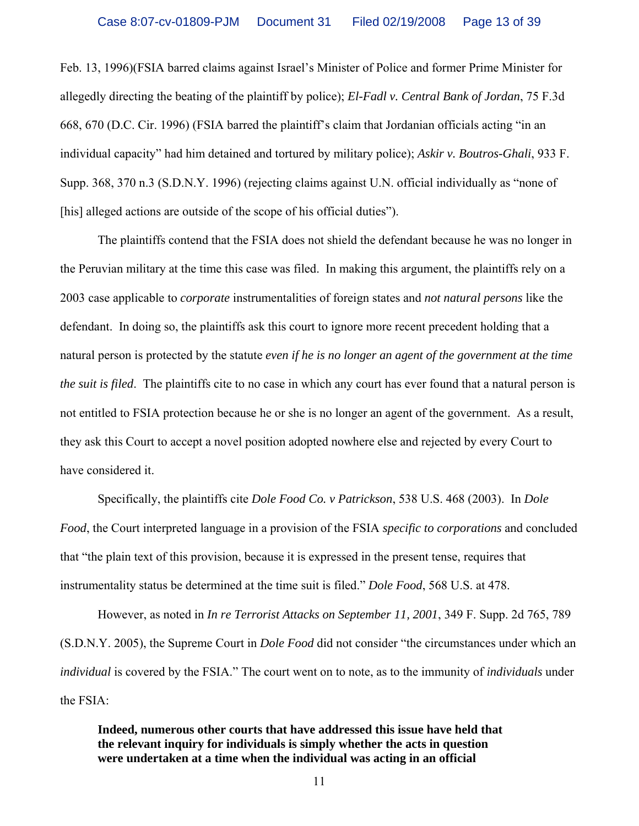Feb. 13, 1996)(FSIA barred claims against Israel's Minister of Police and former Prime Minister for allegedly directing the beating of the plaintiff by police); *El-Fadl v. Central Bank of Jordan*, 75 F.3d 668, 670 (D.C. Cir. 1996) (FSIA barred the plaintiff's claim that Jordanian officials acting "in an individual capacity" had him detained and tortured by military police); *Askir v. Boutros-Ghali*, 933 F. Supp. 368, 370 n.3 (S.D.N.Y. 1996) (rejecting claims against U.N. official individually as "none of [his] alleged actions are outside of the scope of his official duties").

 The plaintiffs contend that the FSIA does not shield the defendant because he was no longer in the Peruvian military at the time this case was filed. In making this argument, the plaintiffs rely on a 2003 case applicable to *corporate* instrumentalities of foreign states and *not natural persons* like the defendant. In doing so, the plaintiffs ask this court to ignore more recent precedent holding that a natural person is protected by the statute *even if he is no longer an agent of the government at the time the suit is filed*. The plaintiffs cite to no case in which any court has ever found that a natural person is not entitled to FSIA protection because he or she is no longer an agent of the government. As a result, they ask this Court to accept a novel position adopted nowhere else and rejected by every Court to have considered it.

 Specifically, the plaintiffs cite *Dole Food Co. v Patrickson*, 538 U.S. 468 (2003). In *Dole Food*, the Court interpreted language in a provision of the FSIA *specific to corporations* and concluded that "the plain text of this provision, because it is expressed in the present tense, requires that instrumentality status be determined at the time suit is filed." *Dole Food*, 568 U.S. at 478.

 However, as noted in *In re Terrorist Attacks on September 11, 2001*, 349 F. Supp. 2d 765, 789 (S.D.N.Y. 2005), the Supreme Court in *Dole Food* did not consider "the circumstances under which an *individual* is covered by the FSIA." The court went on to note, as to the immunity of *individuals* under the FSIA:

**Indeed, numerous other courts that have addressed this issue have held that the relevant inquiry for individuals is simply whether the acts in question were undertaken at a time when the individual was acting in an official**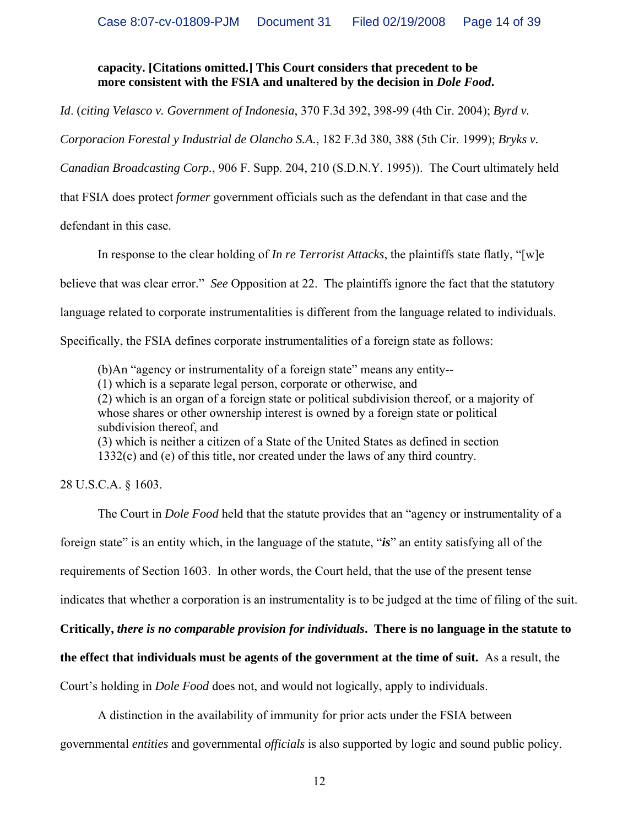#### **capacity. [Citations omitted.] This Court considers that precedent to be more consistent with the FSIA and unaltered by the decision in** *Dole Food***.**

*Id*. (*citing Velasco v. Government of Indonesia*, 370 F.3d 392, 398-99 (4th Cir. 2004); *Byrd v.* 

*Corporacion Forestal y Industrial de Olancho S.A.*, 182 F.3d 380, 388 (5th Cir. 1999); *Bryks v.* 

*Canadian Broadcasting Corp.*, 906 F. Supp. 204, 210 (S.D.N.Y. 1995)). The Court ultimately held

that FSIA does protect *former* government officials such as the defendant in that case and the

defendant in this case.

In response to the clear holding of *In re Terrorist Attacks*, the plaintiffs state flatly, "[w]e

believe that was clear error." *See* Opposition at 22. The plaintiffs ignore the fact that the statutory

language related to corporate instrumentalities is different from the language related to individuals.

Specifically, the FSIA defines corporate instrumentalities of a foreign state as follows:

(b)An "agency or instrumentality of a foreign state" means any entity--

(1) which is a separate legal person, corporate or otherwise, and

(2) which is an organ of a foreign state or political subdivision thereof, or a majority of whose shares or other ownership interest is owned by a foreign state or political subdivision thereof, and

(3) which is neither a citizen of a State of the United States as defined in section 1332(c) and (e) of this title, nor created under the laws of any third country.

28 U.S.C.A. § 1603.

 The Court in *Dole Food* held that the statute provides that an "agency or instrumentality of a foreign state" is an entity which, in the language of the statute, "*is*" an entity satisfying all of the requirements of Section 1603. In other words, the Court held, that the use of the present tense indicates that whether a corporation is an instrumentality is to be judged at the time of filing of the suit.

**Critically,** *there is no comparable provision for individuals***. There is no language in the statute to** 

#### **the effect that individuals must be agents of the government at the time of suit.** As a result, the

Court's holding in *Dole Food* does not, and would not logically, apply to individuals.

A distinction in the availability of immunity for prior acts under the FSIA between

governmental *entities* and governmental *officials* is also supported by logic and sound public policy.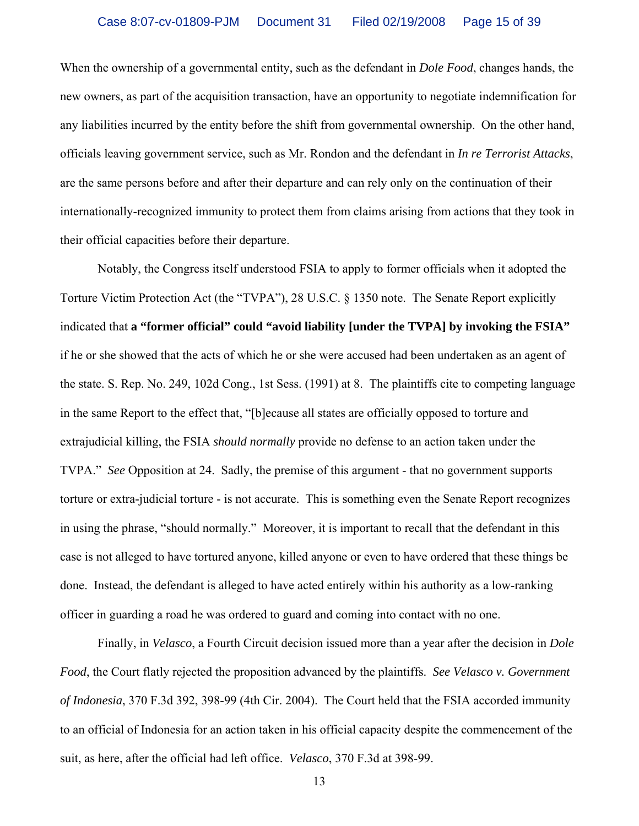When the ownership of a governmental entity, such as the defendant in *Dole Food*, changes hands, the new owners, as part of the acquisition transaction, have an opportunity to negotiate indemnification for any liabilities incurred by the entity before the shift from governmental ownership.On the other hand, officials leaving government service, such as Mr. Rondon and the defendant in *In re Terrorist Attacks*, are the same persons before and after their departure and can rely only on the continuation of their internationally-recognized immunity to protect them from claims arising from actions that they took in their official capacities before their departure.

Notably, the Congress itself understood FSIA to apply to former officials when it adopted the Torture Victim Protection Act (the "TVPA"), 28 U.S.C. § 1350 note. The Senate Report explicitly indicated that **a "former official" could "avoid liability [under the TVPA] by invoking the FSIA"**  if he or she showed that the acts of which he or she were accused had been undertaken as an agent of the state. S. Rep. No. 249, 102d Cong., 1st Sess. (1991) at 8. The plaintiffs cite to competing language in the same Report to the effect that, "[b]ecause all states are officially opposed to torture and extrajudicial killing, the FSIA *should normally* provide no defense to an action taken under the TVPA." *See* Opposition at 24. Sadly, the premise of this argument - that no government supports torture or extra-judicial torture - is not accurate. This is something even the Senate Report recognizes in using the phrase, "should normally." Moreover, it is important to recall that the defendant in this case is not alleged to have tortured anyone, killed anyone or even to have ordered that these things be done. Instead, the defendant is alleged to have acted entirely within his authority as a low-ranking officer in guarding a road he was ordered to guard and coming into contact with no one.

 Finally, in *Velasco*, a Fourth Circuit decision issued more than a year after the decision in *Dole Food*, the Court flatly rejected the proposition advanced by the plaintiffs. *See Velasco v. Government of Indonesia*, 370 F.3d 392, 398-99 (4th Cir. 2004). The Court held that the FSIA accorded immunity to an official of Indonesia for an action taken in his official capacity despite the commencement of the suit, as here, after the official had left office. *Velasco*, 370 F.3d at 398-99.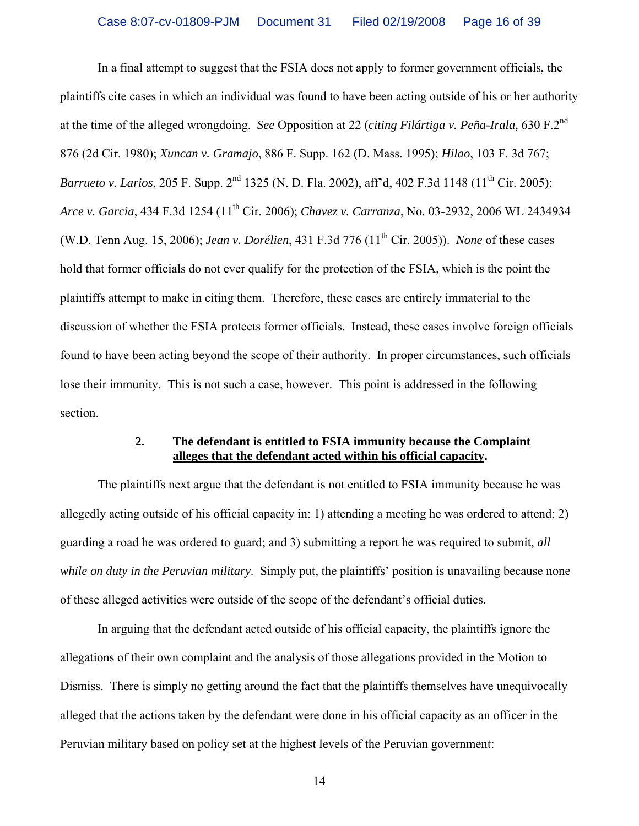In a final attempt to suggest that the FSIA does not apply to former government officials, the plaintiffs cite cases in which an individual was found to have been acting outside of his or her authority at the time of the alleged wrongdoing. *See* Opposition at 22 (*citing Filártiga v. Peña-Irala,* 630 F.2nd 876 (2d Cir. 1980); *Xuncan v. Gramajo*, 886 F. Supp. 162 (D. Mass. 1995); *Hilao*, 103 F. 3d 767; *Barrueto v. Larios*, 205 F. Supp. 2<sup>nd</sup> 1325 (N. D. Fla. 2002), aff'd, 402 F.3d 1148 (11<sup>th</sup> Cir. 2005); *Arce v. Garcia*, 434 F.3d 1254 (11th Cir. 2006); *Chavez v. Carranza*, No. 03-2932, 2006 WL 2434934 (W.D. Tenn Aug. 15, 2006); *Jean v. Dorélien*, 431 F.3d 776 (11th Cir. 2005)). *None* of these cases hold that former officials do not ever qualify for the protection of the FSIA, which is the point the plaintiffs attempt to make in citing them. Therefore, these cases are entirely immaterial to the discussion of whether the FSIA protects former officials. Instead, these cases involve foreign officials found to have been acting beyond the scope of their authority. In proper circumstances, such officials lose their immunity. This is not such a case, however. This point is addressed in the following section.

#### **2. The defendant is entitled to FSIA immunity because the Complaint alleges that the defendant acted within his official capacity.**

 The plaintiffs next argue that the defendant is not entitled to FSIA immunity because he was allegedly acting outside of his official capacity in: 1) attending a meeting he was ordered to attend; 2) guarding a road he was ordered to guard; and 3) submitting a report he was required to submit, *all while on duty in the Peruvian military*. Simply put, the plaintiffs' position is unavailing because none of these alleged activities were outside of the scope of the defendant's official duties.

 In arguing that the defendant acted outside of his official capacity, the plaintiffs ignore the allegations of their own complaint and the analysis of those allegations provided in the Motion to Dismiss. There is simply no getting around the fact that the plaintiffs themselves have unequivocally alleged that the actions taken by the defendant were done in his official capacity as an officer in the Peruvian military based on policy set at the highest levels of the Peruvian government: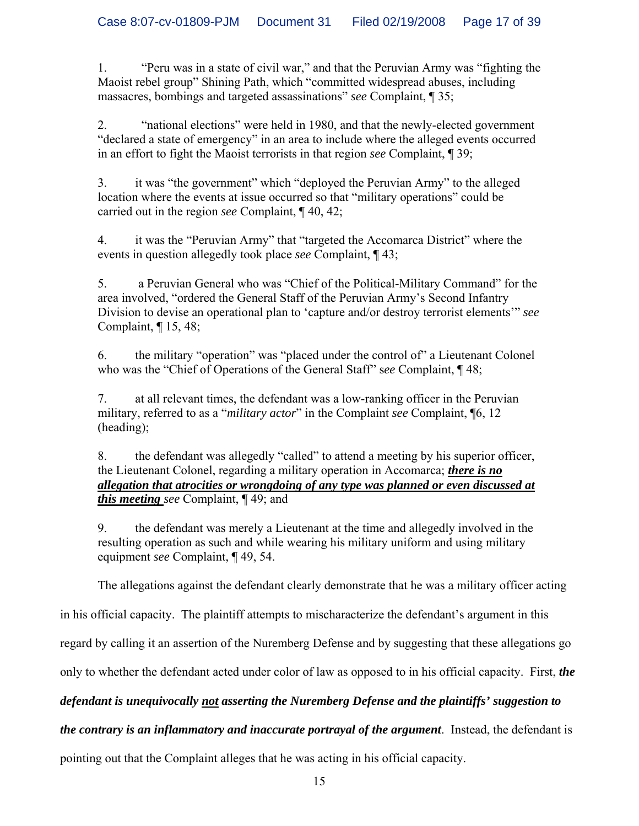1. "Peru was in a state of civil war," and that the Peruvian Army was "fighting the Maoist rebel group" Shining Path, which "committed widespread abuses, including massacres, bombings and targeted assassinations" *see* Complaint, ¶ 35;

2. "national elections" were held in 1980, and that the newly-elected government "declared a state of emergency" in an area to include where the alleged events occurred in an effort to fight the Maoist terrorists in that region *see* Complaint, ¶ 39;

3. it was "the government" which "deployed the Peruvian Army" to the alleged location where the events at issue occurred so that "military operations" could be carried out in the region *see* Complaint, ¶ 40, 42;

4. it was the "Peruvian Army" that "targeted the Accomarca District" where the events in question allegedly took place *see* Complaint, ¶ 43;

5. a Peruvian General who was "Chief of the Political-Military Command" for the area involved, "ordered the General Staff of the Peruvian Army's Second Infantry Division to devise an operational plan to 'capture and/or destroy terrorist elements'" *see* Complaint, ¶ 15, 48;

6. the military "operation" was "placed under the control of" a Lieutenant Colonel who was the "Chief of Operations of the General Staff" s*ee* Complaint, ¶ 48;

7. at all relevant times, the defendant was a low-ranking officer in the Peruvian military, referred to as a "*military actor*" in the Complaint *see* Complaint, ¶6, 12 (heading);

8. the defendant was allegedly "called" to attend a meeting by his superior officer, the Lieutenant Colonel, regarding a military operation in Accomarca; *there is no allegation that atrocities or wrongdoing of any type was planned or even discussed at this meeting see* Complaint, ¶ 49; and

9. the defendant was merely a Lieutenant at the time and allegedly involved in the resulting operation as such and while wearing his military uniform and using military equipment *see* Complaint, ¶ 49, 54.

The allegations against the defendant clearly demonstrate that he was a military officer acting

in his official capacity. The plaintiff attempts to mischaracterize the defendant's argument in this

regard by calling it an assertion of the Nuremberg Defense and by suggesting that these allegations go

only to whether the defendant acted under color of law as opposed to in his official capacity. First, *the* 

# *defendant is unequivocally not asserting the Nuremberg Defense and the plaintiffs' suggestion to*

# *the contrary is an inflammatory and inaccurate portrayal of the argument*. Instead, the defendant is

pointing out that the Complaint alleges that he was acting in his official capacity.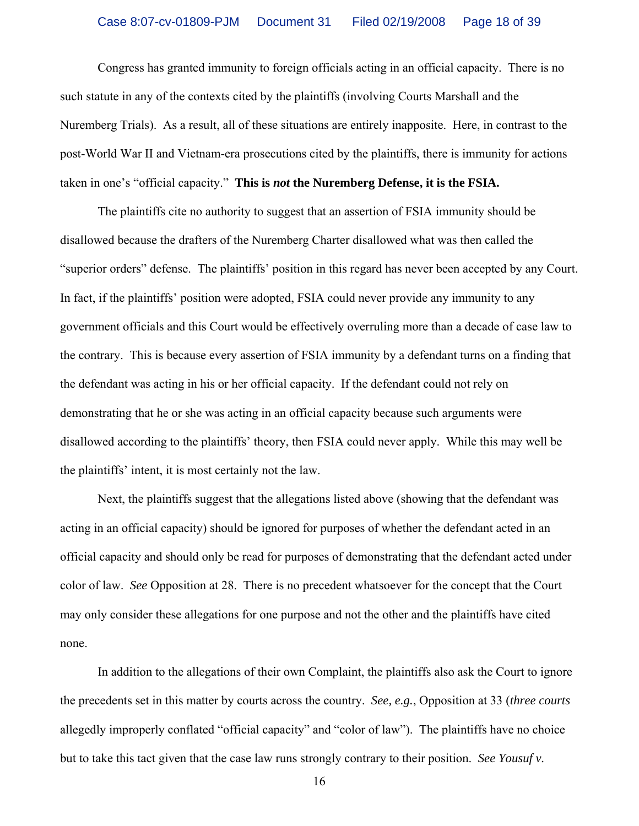Congress has granted immunity to foreign officials acting in an official capacity. There is no such statute in any of the contexts cited by the plaintiffs (involving Courts Marshall and the Nuremberg Trials). As a result, all of these situations are entirely inapposite. Here, in contrast to the post-World War II and Vietnam-era prosecutions cited by the plaintiffs, there is immunity for actions taken in one's "official capacity." **This is** *not* **the Nuremberg Defense, it is the FSIA.** 

 The plaintiffs cite no authority to suggest that an assertion of FSIA immunity should be disallowed because the drafters of the Nuremberg Charter disallowed what was then called the "superior orders" defense. The plaintiffs' position in this regard has never been accepted by any Court. In fact, if the plaintiffs' position were adopted, FSIA could never provide any immunity to any government officials and this Court would be effectively overruling more than a decade of case law to the contrary. This is because every assertion of FSIA immunity by a defendant turns on a finding that the defendant was acting in his or her official capacity. If the defendant could not rely on demonstrating that he or she was acting in an official capacity because such arguments were disallowed according to the plaintiffs' theory, then FSIA could never apply. While this may well be the plaintiffs' intent, it is most certainly not the law.

 Next, the plaintiffs suggest that the allegations listed above (showing that the defendant was acting in an official capacity) should be ignored for purposes of whether the defendant acted in an official capacity and should only be read for purposes of demonstrating that the defendant acted under color of law. *See* Opposition at 28. There is no precedent whatsoever for the concept that the Court may only consider these allegations for one purpose and not the other and the plaintiffs have cited none.

 In addition to the allegations of their own Complaint, the plaintiffs also ask the Court to ignore the precedents set in this matter by courts across the country. *See, e.g.*, Opposition at 33 (*three courts* allegedly improperly conflated "official capacity" and "color of law"). The plaintiffs have no choice but to take this tact given that the case law runs strongly contrary to their position. *See Yousuf v.*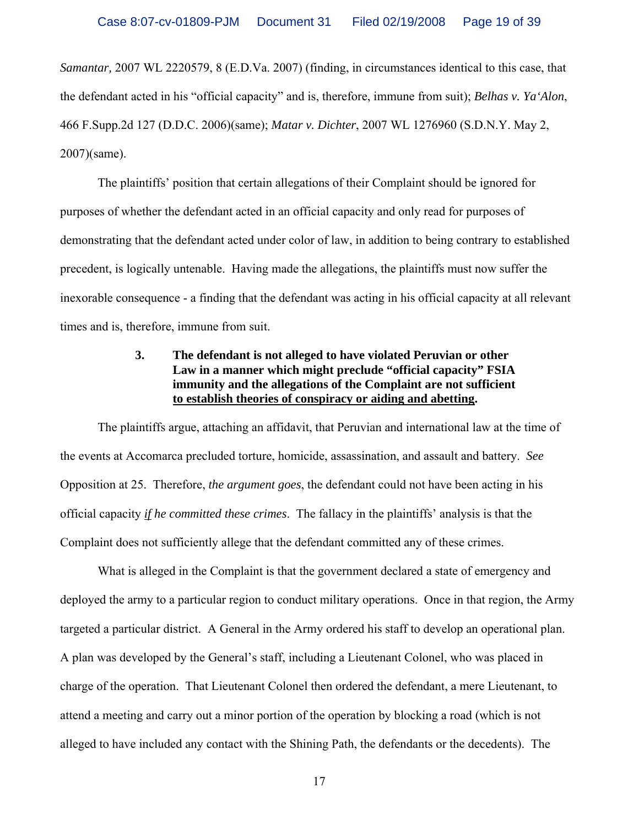*Samantar,* 2007 WL 2220579, 8 (E.D.Va. 2007) (finding, in circumstances identical to this case, that the defendant acted in his "official capacity" and is, therefore, immune from suit); *Belhas v. Ya'Alon*, 466 F.Supp.2d 127 (D.D.C. 2006)(same); *Matar v. Dichter*, 2007 WL 1276960 (S.D.N.Y. May 2, 2007)(same).

 The plaintiffs' position that certain allegations of their Complaint should be ignored for purposes of whether the defendant acted in an official capacity and only read for purposes of demonstrating that the defendant acted under color of law, in addition to being contrary to established precedent, is logically untenable. Having made the allegations, the plaintiffs must now suffer the inexorable consequence - a finding that the defendant was acting in his official capacity at all relevant times and is, therefore, immune from suit.

### **3. The defendant is not alleged to have violated Peruvian or other Law in a manner which might preclude "official capacity" FSIA immunity and the allegations of the Complaint are not sufficient to establish theories of conspiracy or aiding and abetting.**

 The plaintiffs argue, attaching an affidavit, that Peruvian and international law at the time of the events at Accomarca precluded torture, homicide, assassination, and assault and battery. *See* Opposition at 25. Therefore, *the argument goes*, the defendant could not have been acting in his official capacity *if he committed these crimes*. The fallacy in the plaintiffs' analysis is that the Complaint does not sufficiently allege that the defendant committed any of these crimes.

 What is alleged in the Complaint is that the government declared a state of emergency and deployed the army to a particular region to conduct military operations. Once in that region, the Army targeted a particular district. A General in the Army ordered his staff to develop an operational plan. A plan was developed by the General's staff, including a Lieutenant Colonel, who was placed in charge of the operation. That Lieutenant Colonel then ordered the defendant, a mere Lieutenant, to attend a meeting and carry out a minor portion of the operation by blocking a road (which is not alleged to have included any contact with the Shining Path, the defendants or the decedents). The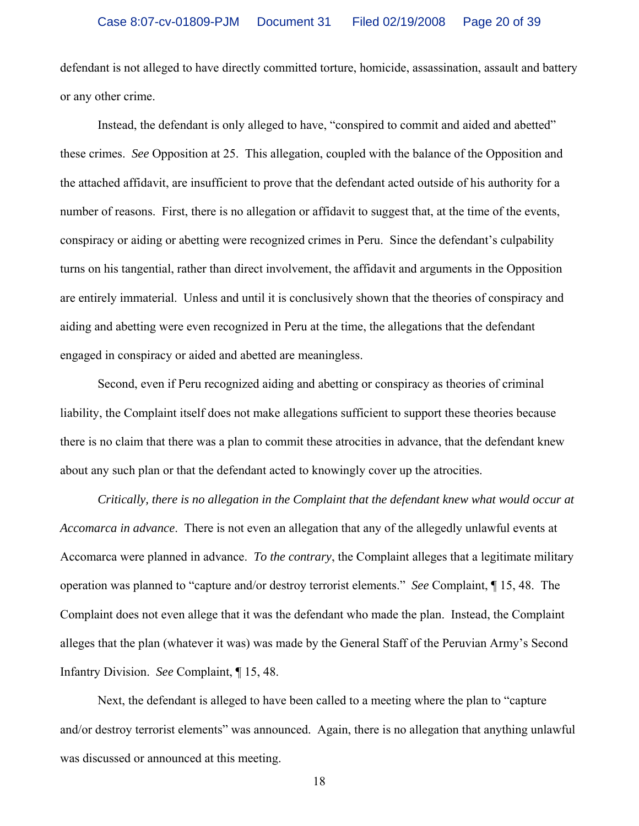defendant is not alleged to have directly committed torture, homicide, assassination, assault and battery or any other crime.

 Instead, the defendant is only alleged to have, "conspired to commit and aided and abetted" these crimes. *See* Opposition at 25. This allegation, coupled with the balance of the Opposition and the attached affidavit, are insufficient to prove that the defendant acted outside of his authority for a number of reasons. First, there is no allegation or affidavit to suggest that, at the time of the events, conspiracy or aiding or abetting were recognized crimes in Peru. Since the defendant's culpability turns on his tangential, rather than direct involvement, the affidavit and arguments in the Opposition are entirely immaterial. Unless and until it is conclusively shown that the theories of conspiracy and aiding and abetting were even recognized in Peru at the time, the allegations that the defendant engaged in conspiracy or aided and abetted are meaningless.

 Second, even if Peru recognized aiding and abetting or conspiracy as theories of criminal liability, the Complaint itself does not make allegations sufficient to support these theories because there is no claim that there was a plan to commit these atrocities in advance, that the defendant knew about any such plan or that the defendant acted to knowingly cover up the atrocities.

*Critically, there is no allegation in the Complaint that the defendant knew what would occur at Accomarca in advance*. There is not even an allegation that any of the allegedly unlawful events at Accomarca were planned in advance. *To the contrary*, the Complaint alleges that a legitimate military operation was planned to "capture and/or destroy terrorist elements." *See* Complaint, ¶ 15, 48. The Complaint does not even allege that it was the defendant who made the plan. Instead, the Complaint alleges that the plan (whatever it was) was made by the General Staff of the Peruvian Army's Second Infantry Division. *See* Complaint, ¶ 15, 48.

 Next, the defendant is alleged to have been called to a meeting where the plan to "capture and/or destroy terrorist elements" was announced. Again, there is no allegation that anything unlawful was discussed or announced at this meeting.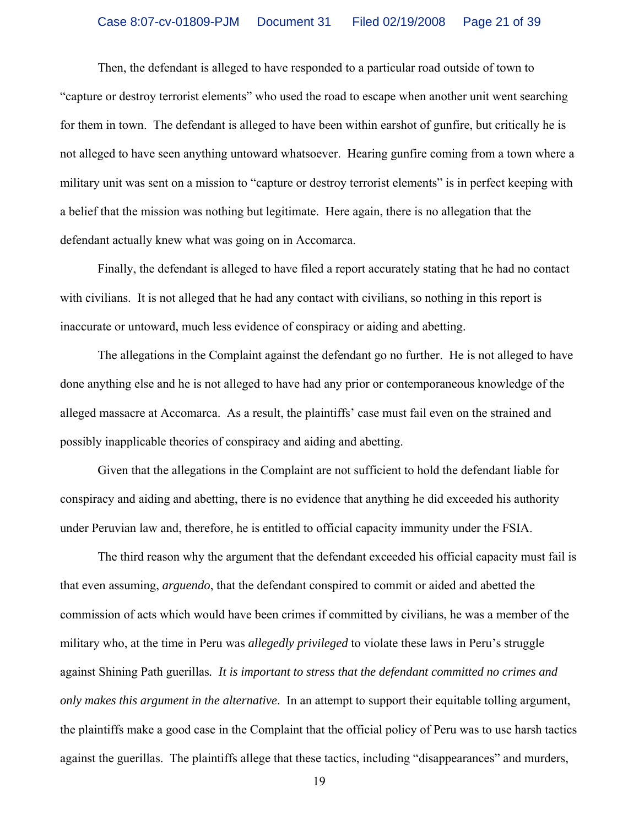Then, the defendant is alleged to have responded to a particular road outside of town to "capture or destroy terrorist elements" who used the road to escape when another unit went searching for them in town. The defendant is alleged to have been within earshot of gunfire, but critically he is not alleged to have seen anything untoward whatsoever. Hearing gunfire coming from a town where a military unit was sent on a mission to "capture or destroy terrorist elements" is in perfect keeping with a belief that the mission was nothing but legitimate. Here again, there is no allegation that the defendant actually knew what was going on in Accomarca.

 Finally, the defendant is alleged to have filed a report accurately stating that he had no contact with civilians. It is not alleged that he had any contact with civilians, so nothing in this report is inaccurate or untoward, much less evidence of conspiracy or aiding and abetting.

 The allegations in the Complaint against the defendant go no further. He is not alleged to have done anything else and he is not alleged to have had any prior or contemporaneous knowledge of the alleged massacre at Accomarca. As a result, the plaintiffs' case must fail even on the strained and possibly inapplicable theories of conspiracy and aiding and abetting.

 Given that the allegations in the Complaint are not sufficient to hold the defendant liable for conspiracy and aiding and abetting, there is no evidence that anything he did exceeded his authority under Peruvian law and, therefore, he is entitled to official capacity immunity under the FSIA.

 The third reason why the argument that the defendant exceeded his official capacity must fail is that even assuming, *arguendo*, that the defendant conspired to commit or aided and abetted the commission of acts which would have been crimes if committed by civilians, he was a member of the military who, at the time in Peru was *allegedly privileged* to violate these laws in Peru's struggle against Shining Path guerillas*. It is important to stress that the defendant committed no crimes and only makes this argument in the alternative*. In an attempt to support their equitable tolling argument, the plaintiffs make a good case in the Complaint that the official policy of Peru was to use harsh tactics against the guerillas. The plaintiffs allege that these tactics, including "disappearances" and murders,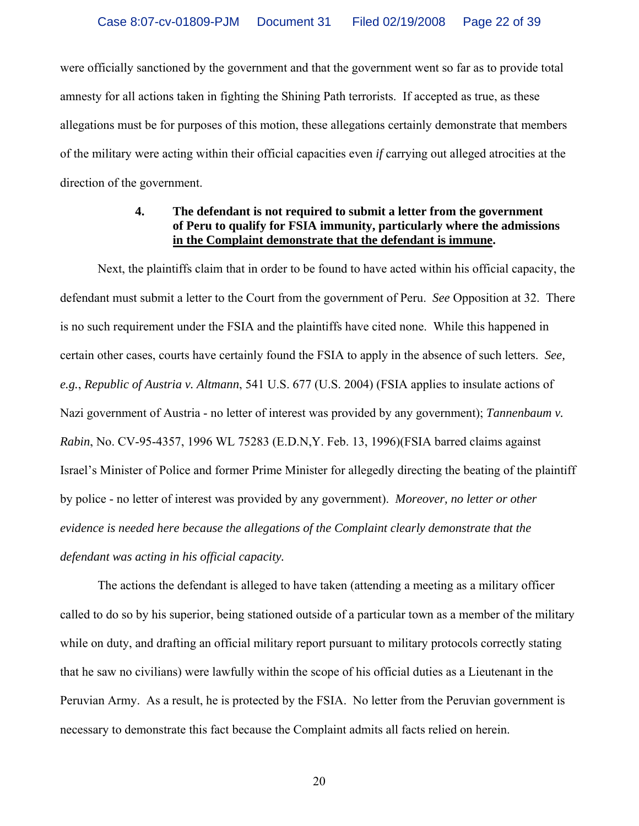were officially sanctioned by the government and that the government went so far as to provide total amnesty for all actions taken in fighting the Shining Path terrorists. If accepted as true, as these allegations must be for purposes of this motion, these allegations certainly demonstrate that members of the military were acting within their official capacities even *if* carrying out alleged atrocities at the direction of the government.

#### **4. The defendant is not required to submit a letter from the government of Peru to qualify for FSIA immunity, particularly where the admissions in the Complaint demonstrate that the defendant is immune.**

 Next, the plaintiffs claim that in order to be found to have acted within his official capacity, the defendant must submit a letter to the Court from the government of Peru. *See* Opposition at 32. There is no such requirement under the FSIA and the plaintiffs have cited none. While this happened in certain other cases, courts have certainly found the FSIA to apply in the absence of such letters. *See, e.g.*, *Republic of Austria v. Altmann*, 541 U.S. 677 (U.S. 2004) (FSIA applies to insulate actions of Nazi government of Austria - no letter of interest was provided by any government); *Tannenbaum v. Rabin*, No. CV-95-4357, 1996 WL 75283 (E.D.N,Y. Feb. 13, 1996)(FSIA barred claims against Israel's Minister of Police and former Prime Minister for allegedly directing the beating of the plaintiff by police - no letter of interest was provided by any government). *Moreover, no letter or other evidence is needed here because the allegations of the Complaint clearly demonstrate that the defendant was acting in his official capacity.* 

 The actions the defendant is alleged to have taken (attending a meeting as a military officer called to do so by his superior, being stationed outside of a particular town as a member of the military while on duty, and drafting an official military report pursuant to military protocols correctly stating that he saw no civilians) were lawfully within the scope of his official duties as a Lieutenant in the Peruvian Army. As a result, he is protected by the FSIA. No letter from the Peruvian government is necessary to demonstrate this fact because the Complaint admits all facts relied on herein.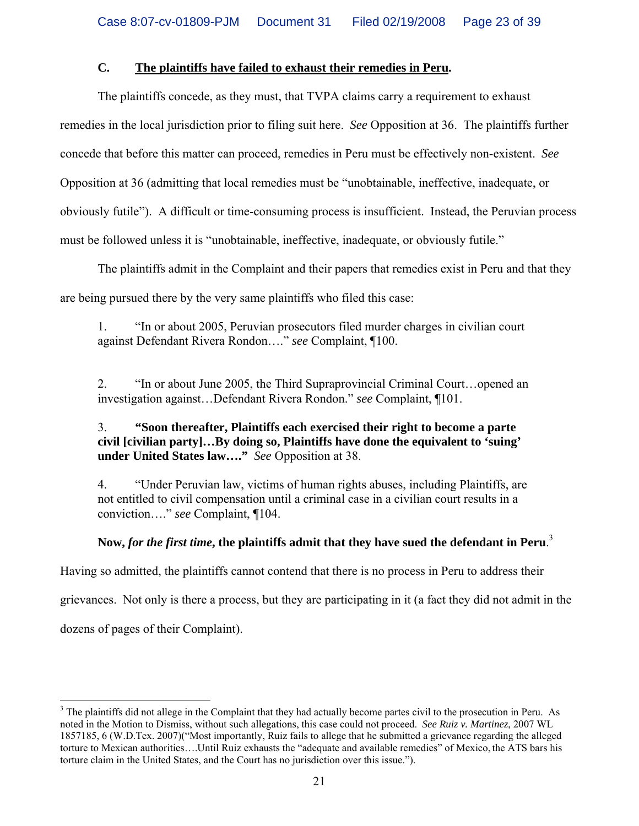## **C. The plaintiffs have failed to exhaust their remedies in Peru.**

 The plaintiffs concede, as they must, that TVPA claims carry a requirement to exhaust remedies in the local jurisdiction prior to filing suit here. *See* Opposition at 36. The plaintiffs further concede that before this matter can proceed, remedies in Peru must be effectively non-existent. *See* Opposition at 36 (admitting that local remedies must be "unobtainable, ineffective, inadequate, or obviously futile"). A difficult or time-consuming process is insufficient. Instead, the Peruvian process must be followed unless it is "unobtainable, ineffective, inadequate, or obviously futile."

 The plaintiffs admit in the Complaint and their papers that remedies exist in Peru and that they are being pursued there by the very same plaintiffs who filed this case:

1. "In or about 2005, Peruvian prosecutors filed murder charges in civilian court against Defendant Rivera Rondon…." *see* Complaint, ¶100.

2. "In or about June 2005, the Third Supraprovincial Criminal Court…opened an investigation against…Defendant Rivera Rondon." *see* Complaint, ¶101.

## 3. **"Soon thereafter, Plaintiffs each exercised their right to become a parte civil [civilian party]…By doing so, Plaintiffs have done the equivalent to 'suing' under United States law…."** *See* Opposition at 38.

4. "Under Peruvian law, victims of human rights abuses, including Plaintiffs, are not entitled to civil compensation until a criminal case in a civilian court results in a conviction…." *see* Complaint, ¶104.

# **Now,** *for the first time***, the plaintiffs admit that they have sued the defendant in Peru**. 3

Having so admitted, the plaintiffs cannot contend that there is no process in Peru to address their grievances. Not only is there a process, but they are participating in it (a fact they did not admit in the dozens of pages of their Complaint).

 $\overline{a}$ 

 $3$  The plaintiffs did not allege in the Complaint that they had actually become partes civil to the prosecution in Peru. As noted in the Motion to Dismiss, without such allegations, this case could not proceed. *See Ruiz v. Martinez*, 2007 WL 1857185, 6 (W.D.Tex. 2007)("Most importantly, Ruiz fails to allege that he submitted a grievance regarding the alleged torture to Mexican authorities….Until Ruiz exhausts the "adequate and available remedies" of Mexico, the ATS bars his torture claim in the United States, and the Court has no jurisdiction over this issue.").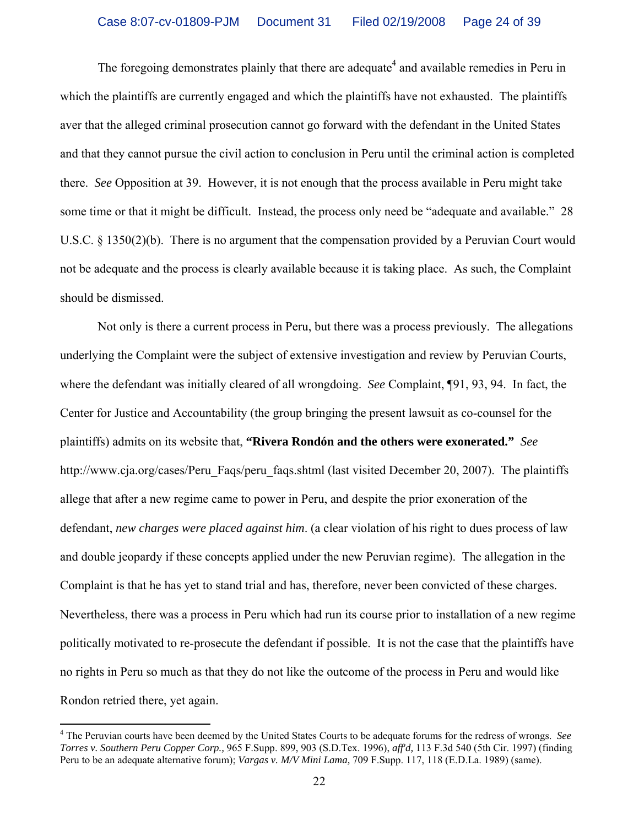The foregoing demonstrates plainly that there are adequate<sup>4</sup> and available remedies in Peru in which the plaintiffs are currently engaged and which the plaintiffs have not exhausted. The plaintiffs aver that the alleged criminal prosecution cannot go forward with the defendant in the United States and that they cannot pursue the civil action to conclusion in Peru until the criminal action is completed there. *See* Opposition at 39. However, it is not enough that the process available in Peru might take some time or that it might be difficult. Instead, the process only need be "adequate and available." 28 U.S.C. § 1350(2)(b). There is no argument that the compensation provided by a Peruvian Court would not be adequate and the process is clearly available because it is taking place. As such, the Complaint should be dismissed.

 Not only is there a current process in Peru, but there was a process previously. The allegations underlying the Complaint were the subject of extensive investigation and review by Peruvian Courts, where the defendant was initially cleared of all wrongdoing. *See* Complaint, ¶91, 93, 94. In fact, the Center for Justice and Accountability (the group bringing the present lawsuit as co-counsel for the plaintiffs) admits on its website that, **"Rivera Rondón and the others were exonerated."** *See* http://www.cja.org/cases/Peru\_Faqs/peru\_faqs.shtml (last visited December 20, 2007). The plaintiffs allege that after a new regime came to power in Peru, and despite the prior exoneration of the defendant, *new charges were placed against him*. (a clear violation of his right to dues process of law and double jeopardy if these concepts applied under the new Peruvian regime). The allegation in the Complaint is that he has yet to stand trial and has, therefore, never been convicted of these charges. Nevertheless, there was a process in Peru which had run its course prior to installation of a new regime politically motivated to re-prosecute the defendant if possible. It is not the case that the plaintiffs have no rights in Peru so much as that they do not like the outcome of the process in Peru and would like Rondon retried there, yet again.

 4 The Peruvian courts have been deemed by the United States Courts to be adequate forums for the redress of wrongs. *See Torres v. Southern Peru Copper Corp.,* 965 F.Supp. 899, 903 (S.D.Tex. 1996), *aff'd,* 113 F.3d 540 (5th Cir. 1997) (finding Peru to be an adequate alternative forum); *Vargas v. M/V Mini Lama,* 709 F.Supp. 117, 118 (E.D.La. 1989) (same).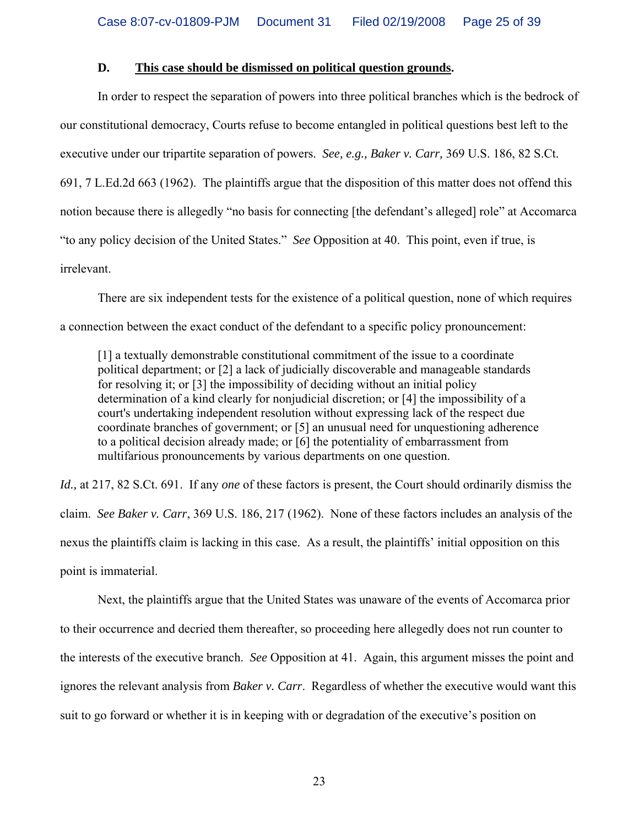#### **D. This case should be dismissed on political question grounds.**

 In order to respect the separation of powers into three political branches which is the bedrock of our constitutional democracy, Courts refuse to become entangled in political questions best left to the executive under our tripartite separation of powers. *See, e.g., Baker v. Carr,* 369 U.S. 186, 82 S.Ct. 691, 7 L.Ed.2d 663 (1962). The plaintiffs argue that the disposition of this matter does not offend this notion because there is allegedly "no basis for connecting [the defendant's alleged] role" at Accomarca "to any policy decision of the United States." *See* Opposition at 40. This point, even if true, is irrelevant.

 There are six independent tests for the existence of a political question, none of which requires a connection between the exact conduct of the defendant to a specific policy pronouncement:

[1] a textually demonstrable constitutional commitment of the issue to a coordinate political department; or [2] a lack of judicially discoverable and manageable standards for resolving it; or [3] the impossibility of deciding without an initial policy determination of a kind clearly for nonjudicial discretion; or [4] the impossibility of a court's undertaking independent resolution without expressing lack of the respect due coordinate branches of government; or [5] an unusual need for unquestioning adherence to a political decision already made; or [6] the potentiality of embarrassment from multifarious pronouncements by various departments on one question.

*Id.,* at 217, 82 S.Ct. 691. If any *one* of these factors is present, the Court should ordinarily dismiss the claim. *See Baker v. Carr*, 369 U.S. 186, 217 (1962). None of these factors includes an analysis of the nexus the plaintiffs claim is lacking in this case. As a result, the plaintiffs' initial opposition on this point is immaterial.

 Next, the plaintiffs argue that the United States was unaware of the events of Accomarca prior to their occurrence and decried them thereafter, so proceeding here allegedly does not run counter to the interests of the executive branch. *See* Opposition at 41. Again, this argument misses the point and ignores the relevant analysis from *Baker v. Carr*. Regardless of whether the executive would want this suit to go forward or whether it is in keeping with or degradation of the executive's position on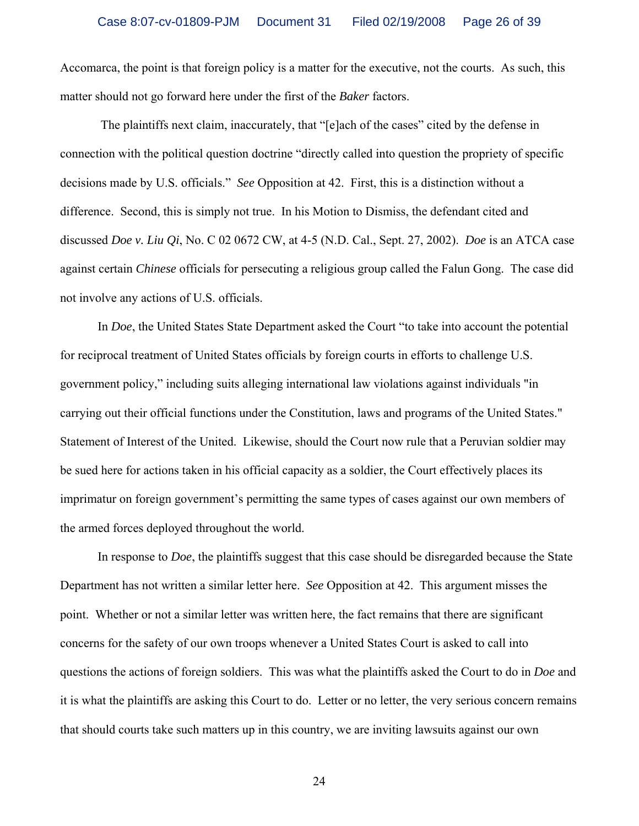Accomarca, the point is that foreign policy is a matter for the executive, not the courts. As such, this matter should not go forward here under the first of the *Baker* factors.

 The plaintiffs next claim, inaccurately, that "[e]ach of the cases" cited by the defense in connection with the political question doctrine "directly called into question the propriety of specific decisions made by U.S. officials." *See* Opposition at 42. First, this is a distinction without a difference. Second, this is simply not true. In his Motion to Dismiss, the defendant cited and discussed *Doe v. Liu Qi*, No. C 02 0672 CW, at 4-5 (N.D. Cal., Sept. 27, 2002). *Doe* is an ATCA case against certain *Chinese* officials for persecuting a religious group called the Falun Gong. The case did not involve any actions of U.S. officials.

 In *Doe*, the United States State Department asked the Court "to take into account the potential for reciprocal treatment of United States officials by foreign courts in efforts to challenge U.S. government policy," including suits alleging international law violations against individuals "in carrying out their official functions under the Constitution, laws and programs of the United States." Statement of Interest of the United. Likewise, should the Court now rule that a Peruvian soldier may be sued here for actions taken in his official capacity as a soldier, the Court effectively places its imprimatur on foreign government's permitting the same types of cases against our own members of the armed forces deployed throughout the world.

 In response to *Doe*, the plaintiffs suggest that this case should be disregarded because the State Department has not written a similar letter here. *See* Opposition at 42. This argument misses the point. Whether or not a similar letter was written here, the fact remains that there are significant concerns for the safety of our own troops whenever a United States Court is asked to call into questions the actions of foreign soldiers. This was what the plaintiffs asked the Court to do in *Doe* and it is what the plaintiffs are asking this Court to do. Letter or no letter, the very serious concern remains that should courts take such matters up in this country, we are inviting lawsuits against our own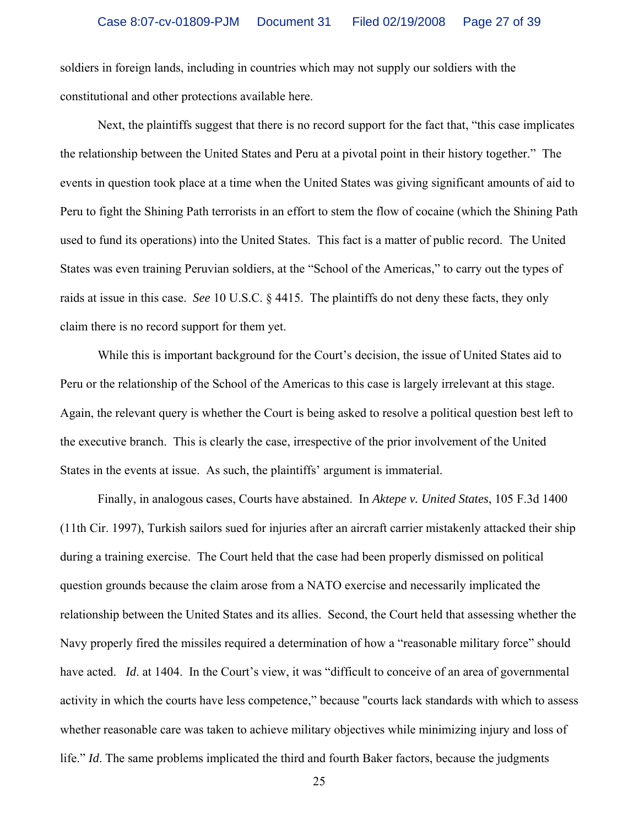soldiers in foreign lands, including in countries which may not supply our soldiers with the constitutional and other protections available here.

 Next, the plaintiffs suggest that there is no record support for the fact that, "this case implicates the relationship between the United States and Peru at a pivotal point in their history together." The events in question took place at a time when the United States was giving significant amounts of aid to Peru to fight the Shining Path terrorists in an effort to stem the flow of cocaine (which the Shining Path used to fund its operations) into the United States. This fact is a matter of public record. The United States was even training Peruvian soldiers, at the "School of the Americas," to carry out the types of raids at issue in this case. *See* 10 U.S.C. § 4415. The plaintiffs do not deny these facts, they only claim there is no record support for them yet.

 While this is important background for the Court's decision, the issue of United States aid to Peru or the relationship of the School of the Americas to this case is largely irrelevant at this stage. Again, the relevant query is whether the Court is being asked to resolve a political question best left to the executive branch. This is clearly the case, irrespective of the prior involvement of the United States in the events at issue. As such, the plaintiffs' argument is immaterial.

 Finally, in analogous cases, Courts have abstained. In *Aktepe v. United States*, 105 F.3d 1400 (11th Cir. 1997), Turkish sailors sued for injuries after an aircraft carrier mistakenly attacked their ship during a training exercise. The Court held that the case had been properly dismissed on political question grounds because the claim arose from a NATO exercise and necessarily implicated the relationship between the United States and its allies. Second, the Court held that assessing whether the Navy properly fired the missiles required a determination of how a "reasonable military force" should have acted. *Id.* at 1404. In the Court's view, it was "difficult to conceive of an area of governmental activity in which the courts have less competence," because "courts lack standards with which to assess whether reasonable care was taken to achieve military objectives while minimizing injury and loss of life." *Id*. The same problems implicated the third and fourth Baker factors, because the judgments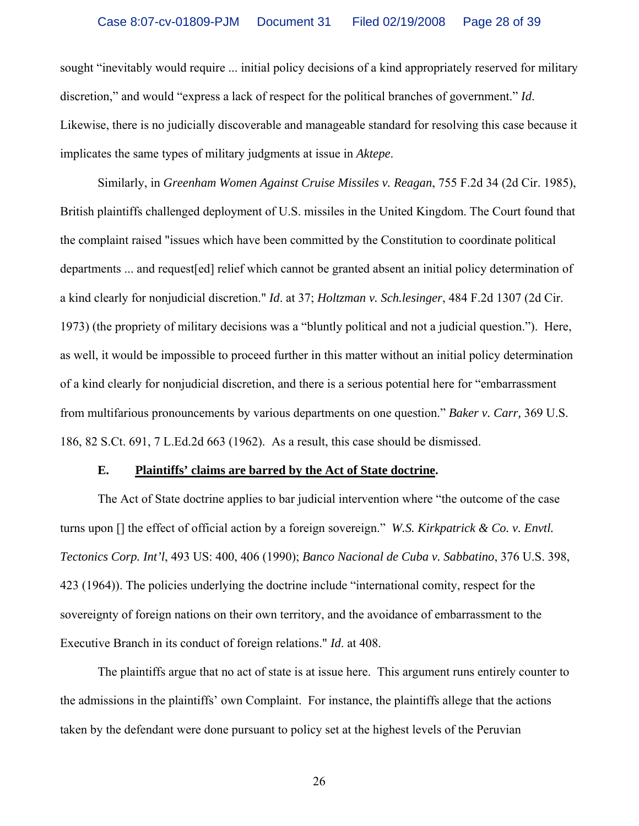sought "inevitably would require ... initial policy decisions of a kind appropriately reserved for military discretion," and would "express a lack of respect for the political branches of government." *Id*. Likewise, there is no judicially discoverable and manageable standard for resolving this case because it implicates the same types of military judgments at issue in *Aktepe*.

 Similarly, in *Greenham Women Against Cruise Missiles v. Reagan*, 755 F.2d 34 (2d Cir. 1985), British plaintiffs challenged deployment of U.S. missiles in the United Kingdom. The Court found that the complaint raised "issues which have been committed by the Constitution to coordinate political departments ... and request[ed] relief which cannot be granted absent an initial policy determination of a kind clearly for nonjudicial discretion." *Id*. at 37; *Holtzman v. Sch.lesinger*, 484 F.2d 1307 (2d Cir. 1973) (the propriety of military decisions was a "bluntly political and not a judicial question."). Here, as well, it would be impossible to proceed further in this matter without an initial policy determination of a kind clearly for nonjudicial discretion, and there is a serious potential here for "embarrassment from multifarious pronouncements by various departments on one question." *Baker v. Carr,* 369 U.S. 186, 82 S.Ct. 691, 7 L.Ed.2d 663 (1962). As a result, this case should be dismissed.

#### **E. Plaintiffs' claims are barred by the Act of State doctrine.**

 The Act of State doctrine applies to bar judicial intervention where "the outcome of the case turns upon [] the effect of official action by a foreign sovereign." *W.S. Kirkpatrick & Co. v. Envtl. Tectonics Corp. Int'l*, 493 US: 400, 406 (1990); *Banco Nacional de Cuba v. Sabbatino*, 376 U.S. 398, 423 (1964)). The policies underlying the doctrine include "international comity, respect for the sovereignty of foreign nations on their own territory, and the avoidance of embarrassment to the Executive Branch in its conduct of foreign relations." *Id*. at 408.

 The plaintiffs argue that no act of state is at issue here. This argument runs entirely counter to the admissions in the plaintiffs' own Complaint. For instance, the plaintiffs allege that the actions taken by the defendant were done pursuant to policy set at the highest levels of the Peruvian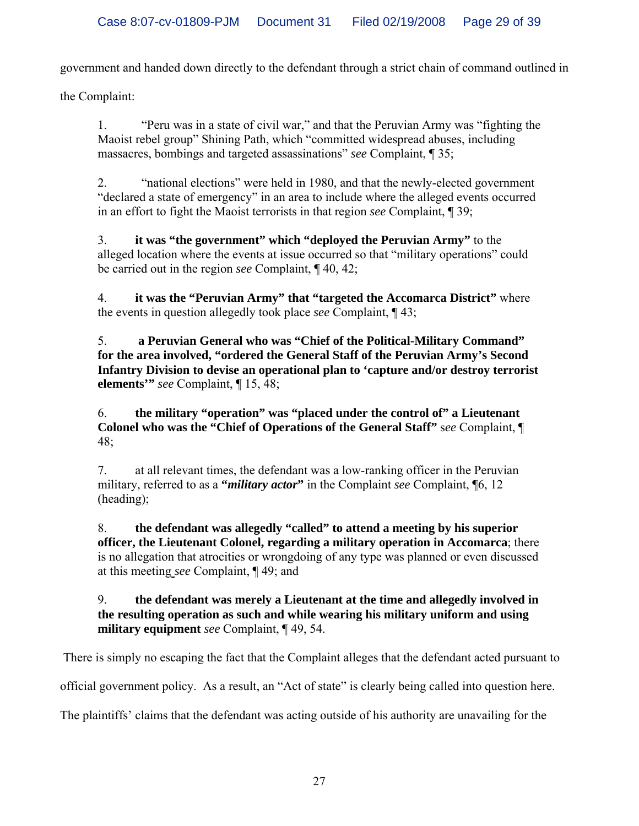government and handed down directly to the defendant through a strict chain of command outlined in

the Complaint:

1. "Peru was in a state of civil war," and that the Peruvian Army was "fighting the Maoist rebel group" Shining Path, which "committed widespread abuses, including massacres, bombings and targeted assassinations" *see* Complaint, ¶ 35;

2. "national elections" were held in 1980, and that the newly-elected government "declared a state of emergency" in an area to include where the alleged events occurred in an effort to fight the Maoist terrorists in that region *see* Complaint, ¶ 39;

3. **it was "the government" which "deployed the Peruvian Army"** to the alleged location where the events at issue occurred so that "military operations" could be carried out in the region *see* Complaint, ¶ 40, 42;

4. **it was the "Peruvian Army" that "targeted the Accomarca District"** where the events in question allegedly took place *see* Complaint, ¶ 43;

5. **a Peruvian General who was "Chief of the Political-Military Command" for the area involved, "ordered the General Staff of the Peruvian Army's Second Infantry Division to devise an operational plan to 'capture and/or destroy terrorist elements'"** *see* Complaint, ¶ 15, 48;

6. **the military "operation" was "placed under the control of" a Lieutenant Colonel who was the "Chief of Operations of the General Staff"** s*ee* Complaint, ¶ 48;

7. at all relevant times, the defendant was a low-ranking officer in the Peruvian military, referred to as a **"***military actor***"** in the Complaint *see* Complaint, ¶6, 12 (heading);

8. **the defendant was allegedly "called" to attend a meeting by his superior officer, the Lieutenant Colonel, regarding a military operation in Accomarca**; there is no allegation that atrocities or wrongdoing of any type was planned or even discussed at this meeting *see* Complaint, ¶ 49; and

## 9. **the defendant was merely a Lieutenant at the time and allegedly involved in the resulting operation as such and while wearing his military uniform and using military equipment** *see* Complaint, ¶ 49, 54.

There is simply no escaping the fact that the Complaint alleges that the defendant acted pursuant to

official government policy. As a result, an "Act of state" is clearly being called into question here.

The plaintiffs' claims that the defendant was acting outside of his authority are unavailing for the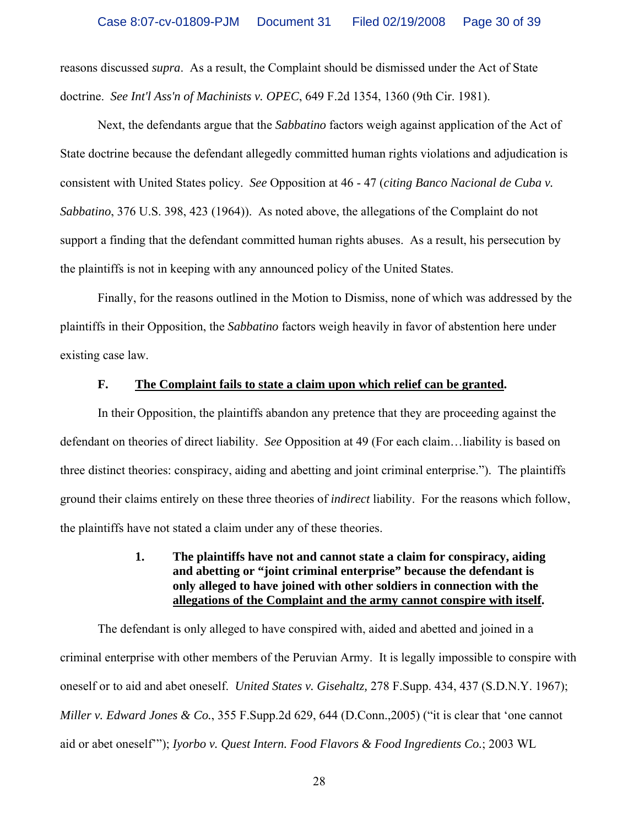reasons discussed *supra*. As a result, the Complaint should be dismissed under the Act of State doctrine. *See Int'l Ass'n of Machinists v. OPEC*, 649 F.2d 1354, 1360 (9th Cir. 1981).

 Next, the defendants argue that the *Sabbatino* factors weigh against application of the Act of State doctrine because the defendant allegedly committed human rights violations and adjudication is consistent with United States policy. *See* Opposition at 46 - 47 (*citing Banco Nacional de Cuba v. Sabbatino*, 376 U.S. 398, 423 (1964)). As noted above, the allegations of the Complaint do not support a finding that the defendant committed human rights abuses. As a result, his persecution by the plaintiffs is not in keeping with any announced policy of the United States.

 Finally, for the reasons outlined in the Motion to Dismiss, none of which was addressed by the plaintiffs in their Opposition, the *Sabbatino* factors weigh heavily in favor of abstention here under existing case law.

#### **F. The Complaint fails to state a claim upon which relief can be granted.**

 In their Opposition, the plaintiffs abandon any pretence that they are proceeding against the defendant on theories of direct liability. *See* Opposition at 49 (For each claim…liability is based on three distinct theories: conspiracy, aiding and abetting and joint criminal enterprise."). The plaintiffs ground their claims entirely on these three theories of *indirect* liability. For the reasons which follow, the plaintiffs have not stated a claim under any of these theories.

### **1. The plaintiffs have not and cannot state a claim for conspiracy, aiding and abetting or "joint criminal enterprise" because the defendant is only alleged to have joined with other soldiers in connection with the allegations of the Complaint and the army cannot conspire with itself.**

 The defendant is only alleged to have conspired with, aided and abetted and joined in a criminal enterprise with other members of the Peruvian Army. It is legally impossible to conspire with oneself or to aid and abet oneself. *United States v. Gisehaltz,* 278 F.Supp. 434, 437 (S.D.N.Y. 1967); *Miller v. Edward Jones & Co.*, 355 F.Supp.2d 629, 644 (D.Conn.,2005) ("it is clear that 'one cannot aid or abet oneself'"); *Iyorbo v. Quest Intern. Food Flavors & Food Ingredients Co.*; 2003 WL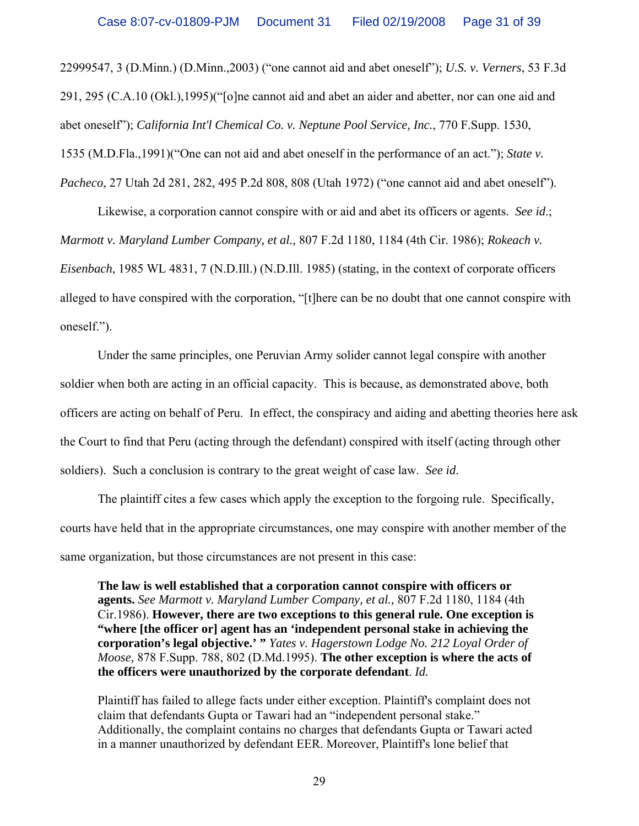22999547, 3 (D.Minn.) (D.Minn.,2003) ("one cannot aid and abet oneself"); *U.S. v. Verners*, 53 F.3d 291, 295 (C.A.10 (Okl.),1995)("[o]ne cannot aid and abet an aider and abetter, nor can one aid and abet oneself"); *California Int'l Chemical Co. v. Neptune Pool Service, Inc.*, 770 F.Supp. 1530, 1535 (M.D.Fla.,1991)("One can not aid and abet oneself in the performance of an act."); *State v. Pacheco*, 27 Utah 2d 281, 282, 495 P.2d 808, 808 (Utah 1972) ("one cannot aid and abet oneself").

 Likewise, a corporation cannot conspire with or aid and abet its officers or agents. *See id*.; *Marmott v. Maryland Lumber Company, et al.,* 807 F.2d 1180, 1184 (4th Cir. 1986); *Rokeach v. Eisenbach*, 1985 WL 4831, 7 (N.D.Ill.) (N.D.Ill. 1985) (stating, in the context of corporate officers alleged to have conspired with the corporation, "[t]here can be no doubt that one cannot conspire with oneself.").

 Under the same principles, one Peruvian Army solider cannot legal conspire with another soldier when both are acting in an official capacity. This is because, as demonstrated above, both officers are acting on behalf of Peru. In effect, the conspiracy and aiding and abetting theories here ask the Court to find that Peru (acting through the defendant) conspired with itself (acting through other soldiers). Such a conclusion is contrary to the great weight of case law. *See id*.

 The plaintiff cites a few cases which apply the exception to the forgoing rule. Specifically, courts have held that in the appropriate circumstances, one may conspire with another member of the same organization, but those circumstances are not present in this case:

**The law is well established that a corporation cannot conspire with officers or agents.** *See Marmott v. Maryland Lumber Company, et al.,* 807 F.2d 1180, 1184 (4th Cir.1986). **However, there are two exceptions to this general rule. One exception is "where [the officer or] agent has an 'independent personal stake in achieving the corporation's legal objective.' "** *Yates v. Hagerstown Lodge No. 212 Loyal Order of Moose,* 878 F.Supp. 788, 802 (D.Md.1995). **The other exception is where the acts of the officers were unauthorized by the corporate defendant**. *Id.* 

Plaintiff has failed to allege facts under either exception. Plaintiff's complaint does not claim that defendants Gupta or Tawari had an "independent personal stake." Additionally, the complaint contains no charges that defendants Gupta or Tawari acted in a manner unauthorized by defendant EER. Moreover, Plaintiff's lone belief that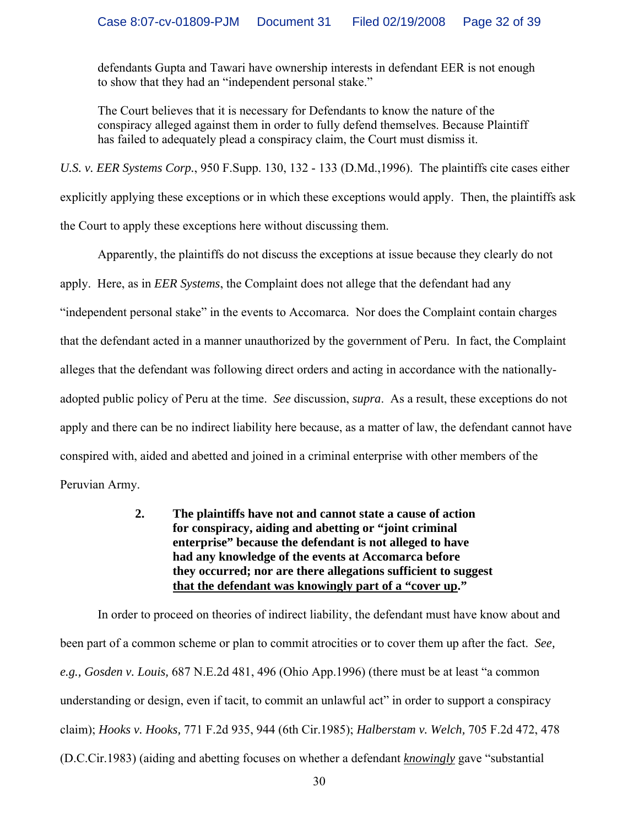defendants Gupta and Tawari have ownership interests in defendant EER is not enough to show that they had an "independent personal stake."

The Court believes that it is necessary for Defendants to know the nature of the conspiracy alleged against them in order to fully defend themselves. Because Plaintiff has failed to adequately plead a conspiracy claim, the Court must dismiss it.

*U.S. v. EER Systems Corp.*, 950 F.Supp. 130, 132 - 133 (D.Md.,1996). The plaintiffs cite cases either explicitly applying these exceptions or in which these exceptions would apply. Then, the plaintiffs ask the Court to apply these exceptions here without discussing them.

 Apparently, the plaintiffs do not discuss the exceptions at issue because they clearly do not apply. Here, as in *EER Systems*, the Complaint does not allege that the defendant had any "independent personal stake" in the events to Accomarca. Nor does the Complaint contain charges that the defendant acted in a manner unauthorized by the government of Peru. In fact, the Complaint alleges that the defendant was following direct orders and acting in accordance with the nationallyadopted public policy of Peru at the time. *See* discussion, *supra*. As a result, these exceptions do not apply and there can be no indirect liability here because, as a matter of law, the defendant cannot have conspired with, aided and abetted and joined in a criminal enterprise with other members of the Peruvian Army.

> **2. The plaintiffs have not and cannot state a cause of action for conspiracy, aiding and abetting or "joint criminal enterprise" because the defendant is not alleged to have had any knowledge of the events at Accomarca before they occurred; nor are there allegations sufficient to suggest that the defendant was knowingly part of a "cover up."**

 In order to proceed on theories of indirect liability, the defendant must have know about and been part of a common scheme or plan to commit atrocities or to cover them up after the fact. *See, e.g., Gosden v. Louis,* 687 N.E.2d 481, 496 (Ohio App.1996) (there must be at least "a common understanding or design, even if tacit, to commit an unlawful act" in order to support a conspiracy claim); *Hooks v. Hooks,* 771 F.2d 935, 944 (6th Cir.1985); *Halberstam v. Welch,* 705 F.2d 472, 478 (D.C.Cir.1983) (aiding and abetting focuses on whether a defendant *knowingly* gave "substantial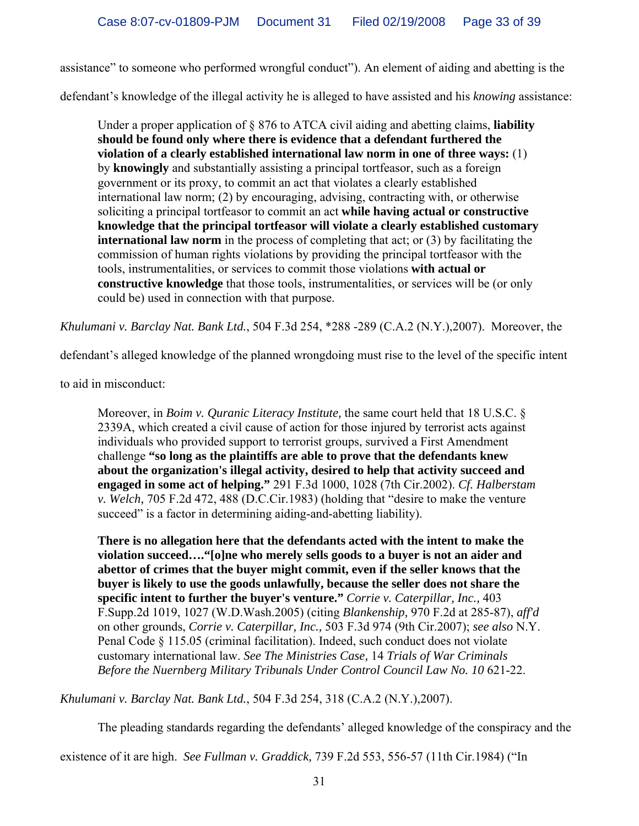assistance" to someone who performed wrongful conduct"). An element of aiding and abetting is the

defendant's knowledge of the illegal activity he is alleged to have assisted and his *knowing* assistance:

Under a proper application of § 876 to ATCA civil aiding and abetting claims, **liability should be found only where there is evidence that a defendant furthered the violation of a clearly established international law norm in one of three ways:** (1) by **knowingly** and substantially assisting a principal tortfeasor, such as a foreign government or its proxy, to commit an act that violates a clearly established international law norm; (2) by encouraging, advising, contracting with, or otherwise soliciting a principal tortfeasor to commit an act **while having actual or constructive knowledge that the principal tortfeasor will violate a clearly established customary international law norm** in the process of completing that act; or (3) by facilitating the commission of human rights violations by providing the principal tortfeasor with the tools, instrumentalities, or services to commit those violations **with actual or constructive knowledge** that those tools, instrumentalities, or services will be (or only could be) used in connection with that purpose.

*Khulumani v. Barclay Nat. Bank Ltd.*, 504 F.3d 254, \*288 -289 (C.A.2 (N.Y.),2007). Moreover, the

defendant's alleged knowledge of the planned wrongdoing must rise to the level of the specific intent

to aid in misconduct:

Moreover, in *Boim v. Quranic Literacy Institute,* the same court held that 18 U.S.C. § 2339A, which created a civil cause of action for those injured by terrorist acts against individuals who provided support to terrorist groups, survived a First Amendment challenge **"so long as the plaintiffs are able to prove that the defendants knew about the organization's illegal activity, desired to help that activity succeed and engaged in some act of helping."** 291 F.3d 1000, 1028 (7th Cir.2002). *Cf. Halberstam v. Welch,* 705 F.2d 472, 488 (D.C.Cir.1983) (holding that "desire to make the venture succeed" is a factor in determining aiding-and-abetting liability).

**There is no allegation here that the defendants acted with the intent to make the violation succeed…."[o]ne who merely sells goods to a buyer is not an aider and abettor of crimes that the buyer might commit, even if the seller knows that the buyer is likely to use the goods unlawfully, because the seller does not share the specific intent to further the buyer's venture."** *Corrie v. Caterpillar, Inc.,* 403 F.Supp.2d 1019, 1027 (W.D.Wash.2005) (citing *Blankenship,* 970 F.2d at 285-87), *aff'd* on other grounds, *Corrie v. Caterpillar, Inc.,* 503 F.3d 974 (9th Cir.2007); *see also* N.Y. Penal Code § 115.05 (criminal facilitation). Indeed, such conduct does not violate customary international law. *See The Ministries Case,* 14 *Trials of War Criminals Before the Nuernberg Military Tribunals Under Control Council Law No. 10* 621-22.

*Khulumani v. Barclay Nat. Bank Ltd.*, 504 F.3d 254, 318 (C.A.2 (N.Y.),2007).

The pleading standards regarding the defendants' alleged knowledge of the conspiracy and the

existence of it are high. *See Fullman v. Graddick,* 739 F.2d 553, 556-57 (11th Cir.1984) ("In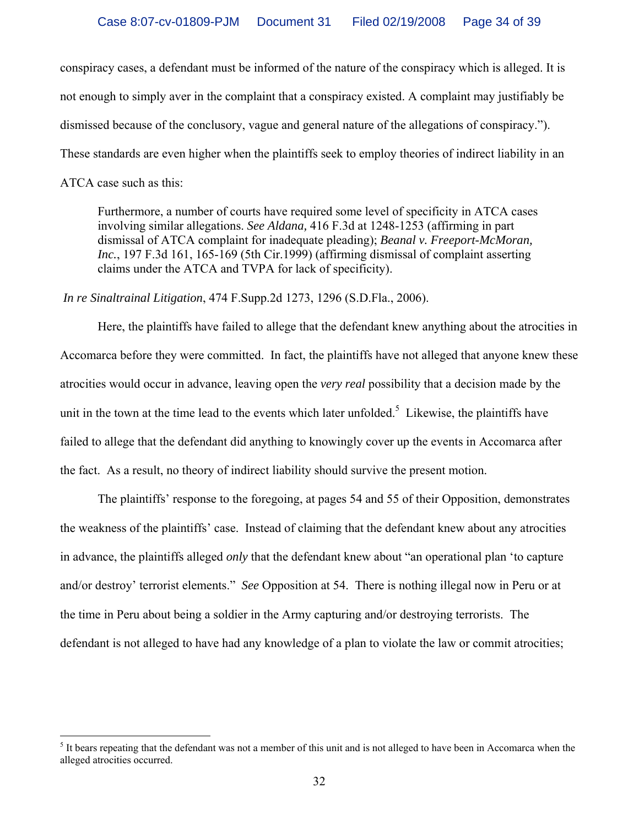conspiracy cases, a defendant must be informed of the nature of the conspiracy which is alleged. It is not enough to simply aver in the complaint that a conspiracy existed. A complaint may justifiably be dismissed because of the conclusory, vague and general nature of the allegations of conspiracy."). These standards are even higher when the plaintiffs seek to employ theories of indirect liability in an ATCA case such as this:

Furthermore, a number of courts have required some level of specificity in ATCA cases involving similar allegations. *See Aldana,* 416 F.3d at 1248-1253 (affirming in part dismissal of ATCA complaint for inadequate pleading); *Beanal v. Freeport-McMoran, Inc.*, 197 F.3d 161, 165-169 (5th Cir.1999) (affirming dismissal of complaint asserting claims under the ATCA and TVPA for lack of specificity).

*In re Sinaltrainal Litigation*, 474 F.Supp.2d 1273, 1296 (S.D.Fla., 2006).

 Here, the plaintiffs have failed to allege that the defendant knew anything about the atrocities in Accomarca before they were committed. In fact, the plaintiffs have not alleged that anyone knew these atrocities would occur in advance, leaving open the *very real* possibility that a decision made by the unit in the town at the time lead to the events which later unfolded.<sup>5</sup> Likewise, the plaintiffs have failed to allege that the defendant did anything to knowingly cover up the events in Accomarca after the fact. As a result, no theory of indirect liability should survive the present motion.

 The plaintiffs' response to the foregoing, at pages 54 and 55 of their Opposition, demonstrates the weakness of the plaintiffs' case. Instead of claiming that the defendant knew about any atrocities in advance, the plaintiffs alleged *only* that the defendant knew about "an operational plan 'to capture and/or destroy' terrorist elements." *See* Opposition at 54. There is nothing illegal now in Peru or at the time in Peru about being a soldier in the Army capturing and/or destroying terrorists. The defendant is not alleged to have had any knowledge of a plan to violate the law or commit atrocities;

 $\overline{a}$ 

 $<sup>5</sup>$  It bears repeating that the defendant was not a member of this unit and is not alleged to have been in Accomarca when the</sup> alleged atrocities occurred.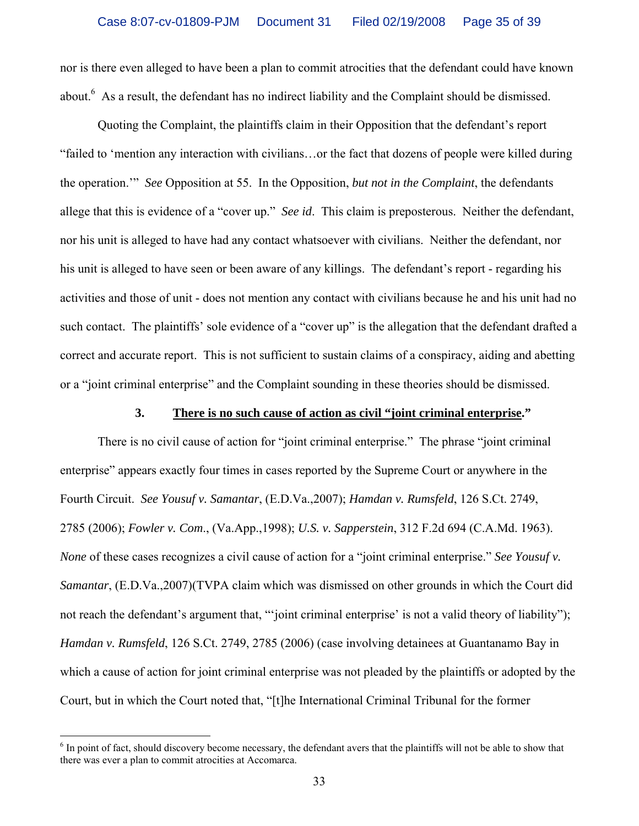nor is there even alleged to have been a plan to commit atrocities that the defendant could have known about.<sup>6</sup> As a result, the defendant has no indirect liability and the Complaint should be dismissed.

 Quoting the Complaint, the plaintiffs claim in their Opposition that the defendant's report "failed to 'mention any interaction with civilians…or the fact that dozens of people were killed during the operation.'" *See* Opposition at 55. In the Opposition, *but not in the Complaint*, the defendants allege that this is evidence of a "cover up." *See id*. This claim is preposterous. Neither the defendant, nor his unit is alleged to have had any contact whatsoever with civilians. Neither the defendant, nor his unit is alleged to have seen or been aware of any killings. The defendant's report - regarding his activities and those of unit - does not mention any contact with civilians because he and his unit had no such contact. The plaintiffs' sole evidence of a "cover up" is the allegation that the defendant drafted a correct and accurate report. This is not sufficient to sustain claims of a conspiracy, aiding and abetting or a "joint criminal enterprise" and the Complaint sounding in these theories should be dismissed.

#### **3. There is no such cause of action as civil "joint criminal enterprise."**

 There is no civil cause of action for "joint criminal enterprise." The phrase "joint criminal enterprise" appears exactly four times in cases reported by the Supreme Court or anywhere in the Fourth Circuit. *See Yousuf v. Samantar*, (E.D.Va.,2007); *Hamdan v. Rumsfeld*, 126 S.Ct. 2749, 2785 (2006); *Fowler v. Com*., (Va.App.,1998); *U.S. v. Sapperstein*, 312 F.2d 694 (C.A.Md. 1963). *None* of these cases recognizes a civil cause of action for a "joint criminal enterprise." *See Yousuf v. Samantar*, (E.D.Va.,2007)(TVPA claim which was dismissed on other grounds in which the Court did not reach the defendant's argument that, "'joint criminal enterprise' is not a valid theory of liability"); *Hamdan v. Rumsfeld*, 126 S.Ct. 2749, 2785 (2006) (case involving detainees at Guantanamo Bay in which a cause of action for joint criminal enterprise was not pleaded by the plaintiffs or adopted by the Court, but in which the Court noted that, "[t]he International Criminal Tribunal for the former

 $\overline{a}$ 

 $6$  In point of fact, should discovery become necessary, the defendant avers that the plaintiffs will not be able to show that there was ever a plan to commit atrocities at Accomarca.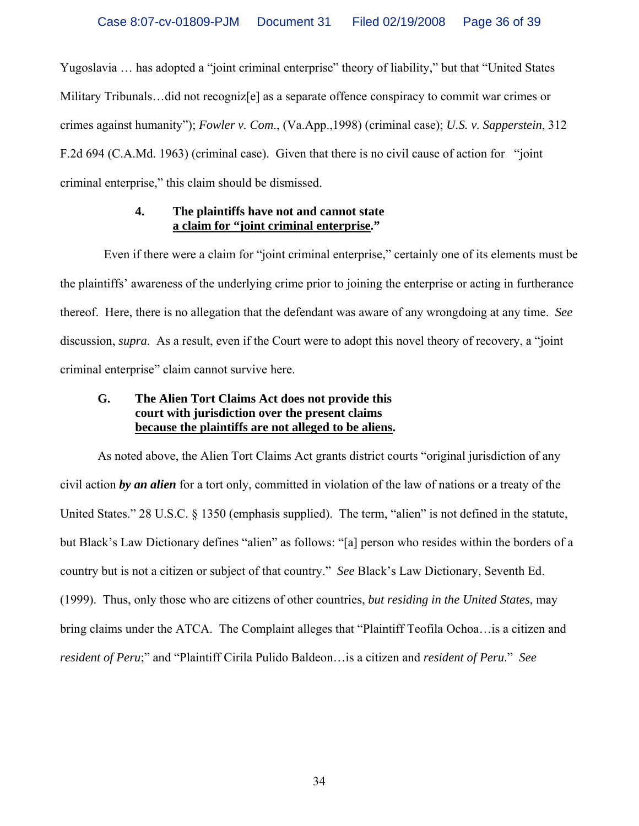Yugoslavia … has adopted a "joint criminal enterprise" theory of liability," but that "United States Military Tribunals…did not recogniz[e] as a separate offence conspiracy to commit war crimes or crimes against humanity"); *Fowler v. Com*., (Va.App.,1998) (criminal case); *U.S. v. Sapperstein*, 312 F.2d 694 (C.A.Md. 1963) (criminal case). Given that there is no civil cause of action for "joint criminal enterprise," this claim should be dismissed.

### **4. The plaintiffs have not and cannot state a claim for "joint criminal enterprise."**

 Even if there were a claim for "joint criminal enterprise," certainly one of its elements must be the plaintiffs' awareness of the underlying crime prior to joining the enterprise or acting in furtherance thereof. Here, there is no allegation that the defendant was aware of any wrongdoing at any time. *See* discussion, *supra*. As a result, even if the Court were to adopt this novel theory of recovery, a "joint criminal enterprise" claim cannot survive here.

## **G. The Alien Tort Claims Act does not provide this court with jurisdiction over the present claims because the plaintiffs are not alleged to be aliens.**

 As noted above, the Alien Tort Claims Act grants district courts "original jurisdiction of any civil action *by an alien* for a tort only, committed in violation of the law of nations or a treaty of the United States." 28 U.S.C. § 1350 (emphasis supplied). The term, "alien" is not defined in the statute, but Black's Law Dictionary defines "alien" as follows: "[a] person who resides within the borders of a country but is not a citizen or subject of that country." *See* Black's Law Dictionary, Seventh Ed. (1999). Thus, only those who are citizens of other countries, *but residing in the United States*, may bring claims under the ATCA. The Complaint alleges that "Plaintiff Teofila Ochoa…is a citizen and *resident of Peru*;" and "Plaintiff Cirila Pulido Baldeon…is a citizen and *resident of Peru*." *See*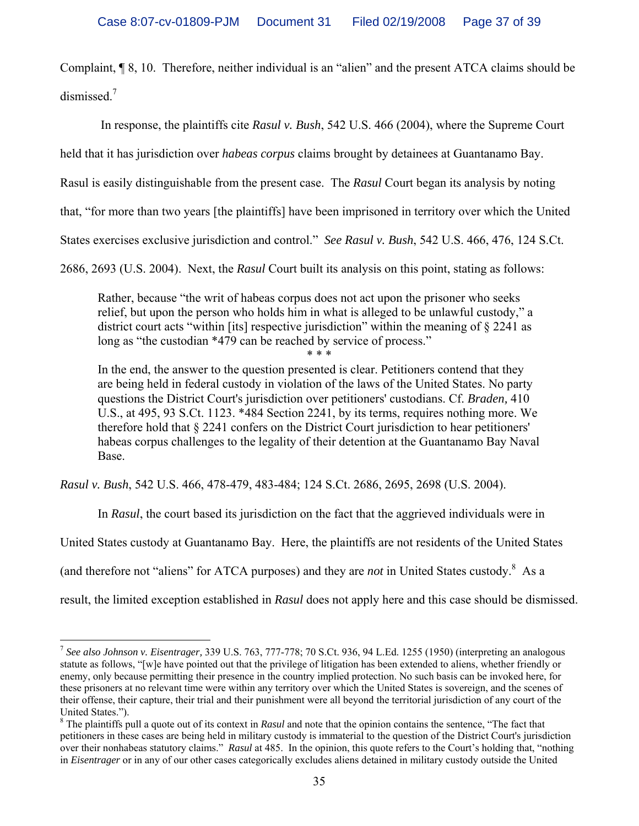Complaint, ¶ 8, 10. Therefore, neither individual is an "alien" and the present ATCA claims should be dismissed.<sup>7</sup>

In response, the plaintiffs cite *Rasul v. Bush*, 542 U.S. 466 (2004), where the Supreme Court

held that it has jurisdiction over *habeas corpus* claims brought by detainees at Guantanamo Bay.

Rasul is easily distinguishable from the present case. The *Rasul* Court began its analysis by noting

that, "for more than two years [the plaintiffs] have been imprisoned in territory over which the United

States exercises exclusive jurisdiction and control." *See Rasul v. Bush*, 542 U.S. 466, 476, 124 S.Ct.

2686, 2693 (U.S. 2004). Next, the *Rasul* Court built its analysis on this point, stating as follows:

Rather, because "the writ of habeas corpus does not act upon the prisoner who seeks relief, but upon the person who holds him in what is alleged to be unlawful custody," a district court acts "within [its] respective jurisdiction" within the meaning of § 2241 as long as "the custodian \*479 can be reached by service of process." \* \* \*

In the end, the answer to the question presented is clear. Petitioners contend that they are being held in federal custody in violation of the laws of the United States. No party questions the District Court's jurisdiction over petitioners' custodians. Cf. *Braden,* 410 U.S., at 495, 93 S.Ct. 1123. \*484 Section 2241, by its terms, requires nothing more. We therefore hold that § 2241 confers on the District Court jurisdiction to hear petitioners' habeas corpus challenges to the legality of their detention at the Guantanamo Bay Naval Base.

*Rasul v. Bush*, 542 U.S. 466, 478-479, 483-484; 124 S.Ct. 2686, 2695, 2698 (U.S. 2004).

 $\overline{a}$ 

In *Rasul*, the court based its jurisdiction on the fact that the aggrieved individuals were in

United States custody at Guantanamo Bay. Here, the plaintiffs are not residents of the United States

(and therefore not "aliens" for ATCA purposes) and they are *not* in United States custody.<sup>8</sup> As a

result, the limited exception established in *Rasul* does not apply here and this case should be dismissed.

<sup>7</sup> *See also Johnson v. Eisentrager,* 339 U.S. 763, 777-778; 70 S.Ct. 936, 94 L.Ed. 1255 (1950) (interpreting an analogous statute as follows, "[w]e have pointed out that the privilege of litigation has been extended to aliens, whether friendly or enemy, only because permitting their presence in the country implied protection. No such basis can be invoked here, for these prisoners at no relevant time were within any territory over which the United States is sovereign, and the scenes of their offense, their capture, their trial and their punishment were all beyond the territorial jurisdiction of any court of the United States.").

<sup>&</sup>lt;sup>8</sup> The plaintiffs pull a quote out of its context in *Rasul* and note that the opinion contains the sentence, "The fact that petitioners in these cases are being held in military custody is immaterial to the question of the District Court's jurisdiction over their nonhabeas statutory claims." *Rasul* at 485. In the opinion, this quote refers to the Court's holding that, "nothing in *Eisentrager* or in any of our other cases categorically excludes aliens detained in military custody outside the United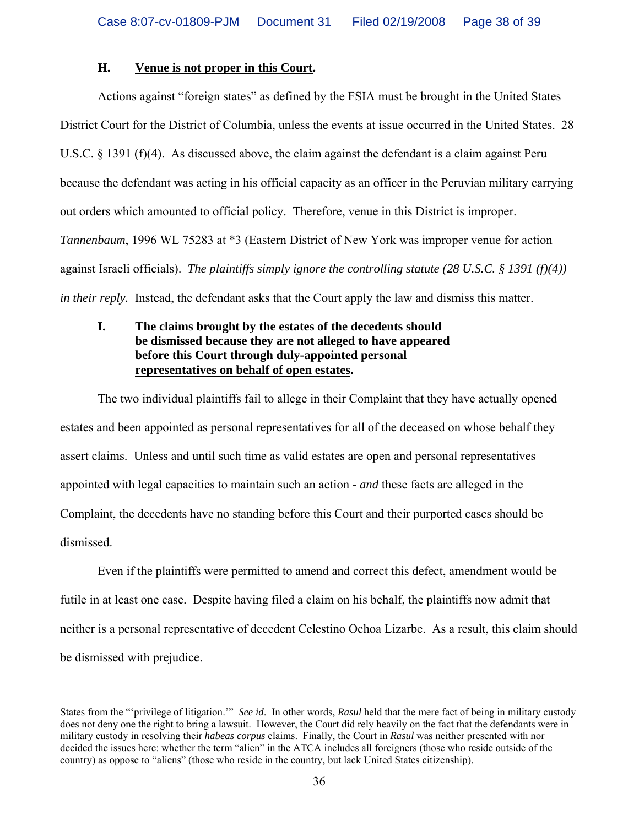## **H. Venue is not proper in this Court.**

 Actions against "foreign states" as defined by the FSIA must be brought in the United States District Court for the District of Columbia, unless the events at issue occurred in the United States. 28 U.S.C. § 1391 (f)(4). As discussed above, the claim against the defendant is a claim against Peru because the defendant was acting in his official capacity as an officer in the Peruvian military carrying out orders which amounted to official policy. Therefore, venue in this District is improper. *Tannenbaum*, 1996 WL 75283 at \*3 (Eastern District of New York was improper venue for action against Israeli officials). *The plaintiffs simply ignore the controlling statute (28 U.S.C. § 1391 (f)(4)) in their reply.* Instead, the defendant asks that the Court apply the law and dismiss this matter.

## **I. The claims brought by the estates of the decedents should be dismissed because they are not alleged to have appeared before this Court through duly-appointed personal representatives on behalf of open estates.**

 The two individual plaintiffs fail to allege in their Complaint that they have actually opened estates and been appointed as personal representatives for all of the deceased on whose behalf they assert claims. Unless and until such time as valid estates are open and personal representatives appointed with legal capacities to maintain such an action - *and* these facts are alleged in the Complaint, the decedents have no standing before this Court and their purported cases should be dismissed.

 Even if the plaintiffs were permitted to amend and correct this defect, amendment would be futile in at least one case. Despite having filed a claim on his behalf, the plaintiffs now admit that neither is a personal representative of decedent Celestino Ochoa Lizarbe. As a result, this claim should be dismissed with prejudice.

States from the "'privilege of litigation.'" *See id*. In other words, *Rasul* held that the mere fact of being in military custody does not deny one the right to bring a lawsuit. However, the Court did rely heavily on the fact that the defendants were in military custody in resolving their *habeas corpus* claims. Finally, the Court in *Rasul* was neither presented with nor decided the issues here: whether the term "alien" in the ATCA includes all foreigners (those who reside outside of the country) as oppose to "aliens" (those who reside in the country, but lack United States citizenship).